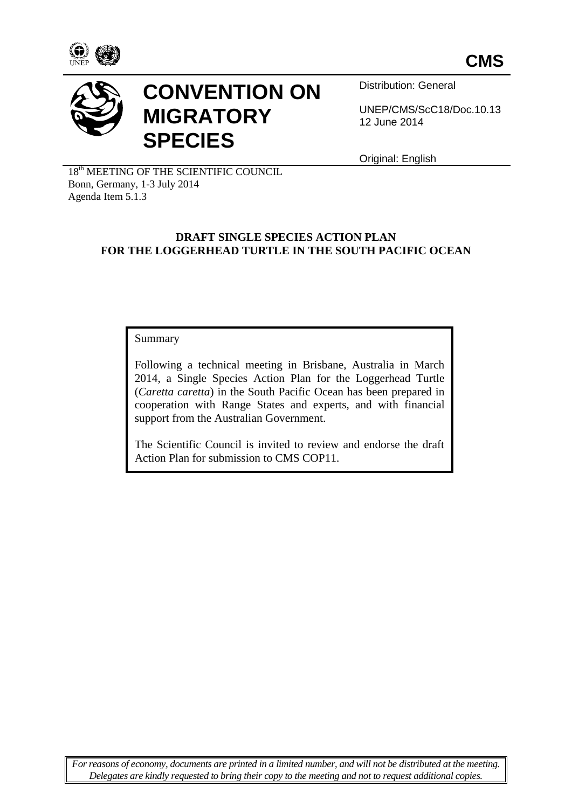



# **CONVENTION ON MIGRATORY SPECIES**

Distribution: General

UNEP/CMS/ScC18/Doc.10.13 12 June 2014

Original: English

18<sup>th</sup> MEETING OF THE SCIENTIFIC COUNCIL Bonn, Germany, 1-3 July 2014 Agenda Item 5.1.3

#### **DRAFT SINGLE SPECIES ACTION PLAN FOR THE LOGGERHEAD TURTLE IN THE SOUTH PACIFIC OCEAN**

Summary

Following a technical meeting in Brisbane, Australia in March 2014, a Single Species Action Plan for the Loggerhead Turtle (*Caretta caretta*) in the South Pacific Ocean has been prepared in cooperation with Range States and experts, and with financial support from the Australian Government.

The Scientific Council is invited to review and endorse the draft Action Plan for submission to CMS COP11.

*For reasons of economy, documents are printed in a limited number, and will not be distributed at the meeting. Delegates are kindly requested to bring their copy to the meeting and not to request additional copies.*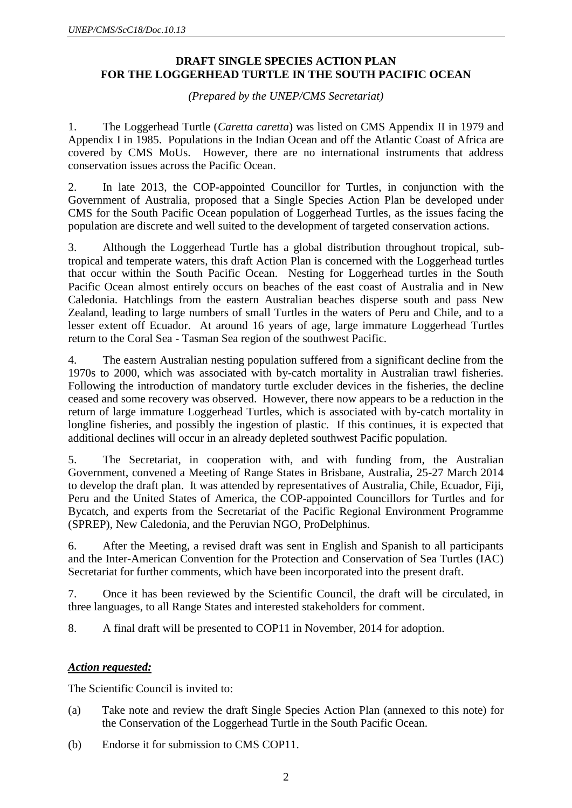#### **DRAFT SINGLE SPECIES ACTION PLAN FOR THE LOGGERHEAD TURTLE IN THE SOUTH PACIFIC OCEAN**

*(Prepared by the UNEP/CMS Secretariat)*

1. The Loggerhead Turtle (*Caretta caretta*) was listed on CMS Appendix II in 1979 and Appendix I in 1985. Populations in the Indian Ocean and off the Atlantic Coast of Africa are covered by CMS MoUs. However, there are no international instruments that address conservation issues across the Pacific Ocean.

2. In late 2013, the COP-appointed Councillor for Turtles, in conjunction with the Government of Australia, proposed that a Single Species Action Plan be developed under CMS for the South Pacific Ocean population of Loggerhead Turtles, as the issues facing the population are discrete and well suited to the development of targeted conservation actions.

3. Although the Loggerhead Turtle has a global distribution throughout tropical, subtropical and temperate waters, this draft Action Plan is concerned with the Loggerhead turtles that occur within the South Pacific Ocean. Nesting for Loggerhead turtles in the South Pacific Ocean almost entirely occurs on beaches of the east coast of Australia and in New Caledonia. Hatchlings from the eastern Australian beaches disperse south and pass New Zealand, leading to large numbers of small Turtles in the waters of Peru and Chile, and to a lesser extent off Ecuador. At around 16 years of age, large immature Loggerhead Turtles return to the Coral Sea - Tasman Sea region of the southwest Pacific.

4. The eastern Australian nesting population suffered from a significant decline from the 1970s to 2000, which was associated with by-catch mortality in Australian trawl fisheries. Following the introduction of mandatory turtle excluder devices in the fisheries, the decline ceased and some recovery was observed. However, there now appears to be a reduction in the return of large immature Loggerhead Turtles, which is associated with by-catch mortality in longline fisheries, and possibly the ingestion of plastic. If this continues, it is expected that additional declines will occur in an already depleted southwest Pacific population.

5. The Secretariat, in cooperation with, and with funding from, the Australian Government, convened a Meeting of Range States in Brisbane, Australia, 25-27 March 2014 to develop the draft plan. It was attended by representatives of Australia, Chile, Ecuador, Fiji, Peru and the United States of America, the COP-appointed Councillors for Turtles and for Bycatch, and experts from the Secretariat of the Pacific Regional Environment Programme (SPREP), New Caledonia, and the Peruvian NGO, ProDelphinus.

6. After the Meeting, a revised draft was sent in English and Spanish to all participants and the Inter-American Convention for the Protection and Conservation of Sea Turtles (IAC) Secretariat for further comments, which have been incorporated into the present draft.

7. Once it has been reviewed by the Scientific Council, the draft will be circulated, in three languages, to all Range States and interested stakeholders for comment.

8. A final draft will be presented to COP11 in November, 2014 for adoption.

#### *Action requested:*

The Scientific Council is invited to:

- (a) Take note and review the draft Single Species Action Plan (annexed to this note) for the Conservation of the Loggerhead Turtle in the South Pacific Ocean.
- (b) Endorse it for submission to CMS COP11.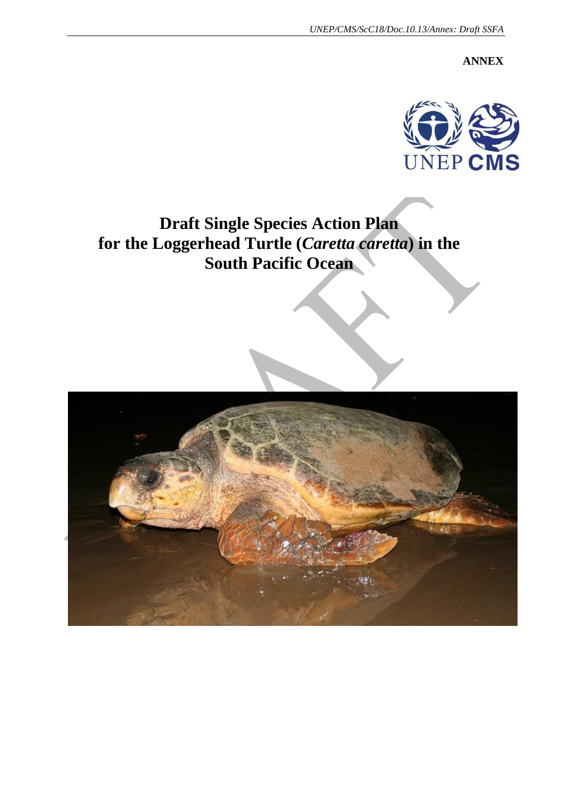**ANNEX**



## **Draft Single Species Action Plan for the Loggerhead Turtle (***Caretta caretta***) in the South Pacific Ocean**

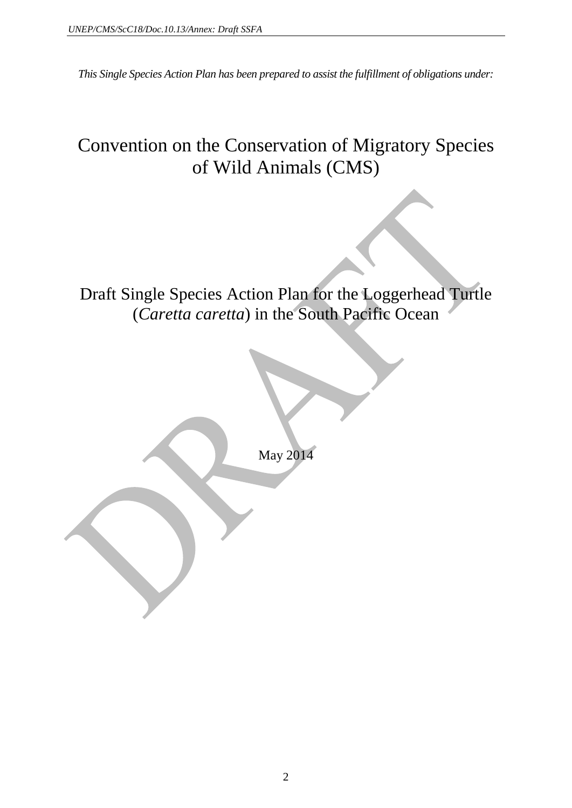*This Single Species Action Plan has been prepared to assist the fulfillment of obligations under:*

## Convention on the Conservation of Migratory Species of Wild Animals (CMS)

Draft Single Species Action Plan for the Loggerhead Turtle (*Caretta caretta*) in the South Pacific Ocean

May 2014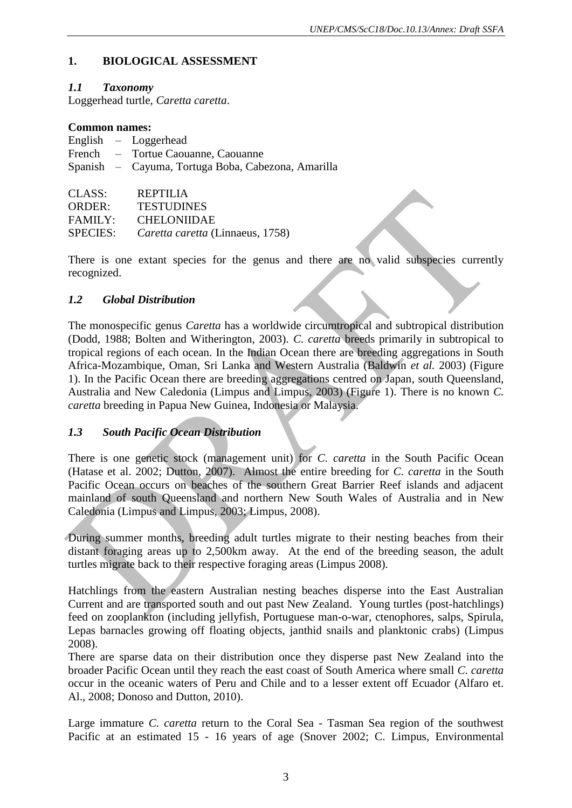### **1. BIOLOGICAL ASSESSMENT**

#### *1.1 Taxonomy*

Loggerhead turtle, *Caretta caretta*.

#### **Common names:**

|               | English $-$ Loggerhead                             |
|---------------|----------------------------------------------------|
|               | French – Tortue Caouanne, Caouanne                 |
|               | Spanish — Cayuma, Tortuga Boba, Cabezona, Amarilla |
|               |                                                    |
| CLASS:        | REPTILIA                                           |
| <b>ORDER:</b> | <b>TESTUDINES</b>                                  |

FAMILY: CHELONIIDAE

SPECIES: *Caretta caretta* (Linnaeus, 1758)

There is one extant species for the genus and there are no valid subspecies currently recognized.

#### *1.2 Global Distribution*

The monospecific genus *Caretta* has a worldwide circumtropical and subtropical distribution (Dodd, 1988; Bolten and Witherington, 2003). *C. caretta* breeds primarily in subtropical to tropical regions of each ocean. In the Indian Ocean there are breeding aggregations in South Africa-Mozambique, Oman, Sri Lanka and Western Australia (Baldwin *et al.* 2003) (Figure 1). In the Pacific Ocean there are breeding aggregations centred on Japan, south Queensland, Australia and New Caledonia (Limpus and Limpus, 2003) (Figure 1). There is no known *C. caretta* breeding in Papua New Guinea, Indonesia or Malaysia.

#### *1.3 South Pacific Ocean Distribution*

There is one genetic stock (management unit) for *C. caretta* in the South Pacific Ocean (Hatase et al. 2002; Dutton, 2007). Almost the entire breeding for *C. caretta* in the South Pacific Ocean occurs on beaches of the southern Great Barrier Reef islands and adjacent mainland of south Queensland and northern New South Wales of Australia and in New Caledonia (Limpus and Limpus, 2003; Limpus, 2008).

During summer months, breeding adult turtles migrate to their nesting beaches from their distant foraging areas up to 2,500km away. At the end of the breeding season, the adult turtles migrate back to their respective foraging areas (Limpus 2008).

Hatchlings from the eastern Australian nesting beaches disperse into the East Australian Current and are transported south and out past New Zealand. Young turtles (post-hatchlings) feed on zooplankton (including jellyfish, Portuguese man-o-war, ctenophores, salps, Spirula, Lepas barnacles growing off floating objects, janthid snails and planktonic crabs) (Limpus 2008).

There are sparse data on their distribution once they disperse past New Zealand into the broader Pacific Ocean until they reach the east coast of South America where small *C. caretta* occur in the oceanic waters of Peru and Chile and to a lesser extent off Ecuador (Alfaro et. Al., 2008; Donoso and Dutton, 2010).

Large immature *C. caretta* return to the Coral Sea - Tasman Sea region of the southwest Pacific at an estimated 15 - 16 years of age (Snover 2002; C. Limpus, Environmental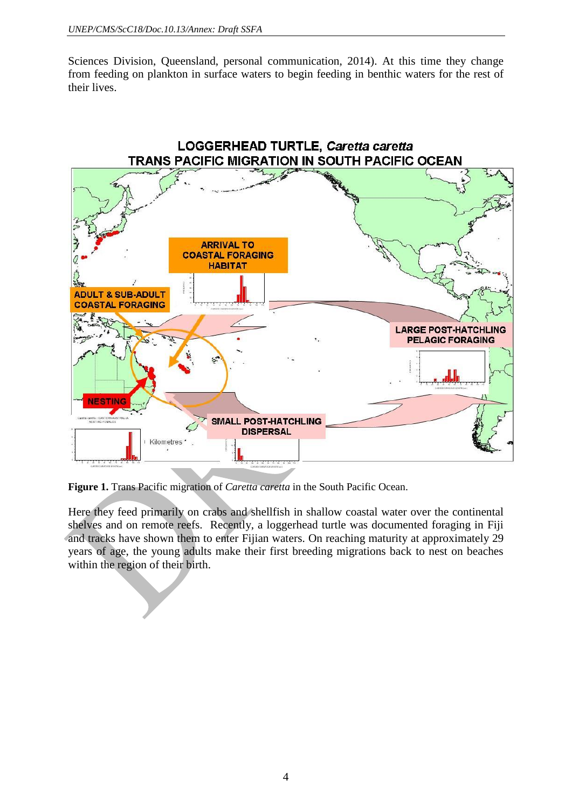Sciences Division, Queensland, personal communication, 2014). At this time they change from feeding on plankton in surface waters to begin feeding in benthic waters for the rest of their lives.



**Figure 1.** Trans Pacific migration of *Caretta caretta* in the South Pacific Ocean.

Here they feed primarily on crabs and shellfish in shallow coastal water over the continental shelves and on remote reefs. Recently, a loggerhead turtle was documented foraging in Fiji and tracks have shown them to enter Fijian waters. On reaching maturity at approximately 29 years of age, the young adults make their first breeding migrations back to nest on beaches within the region of their birth.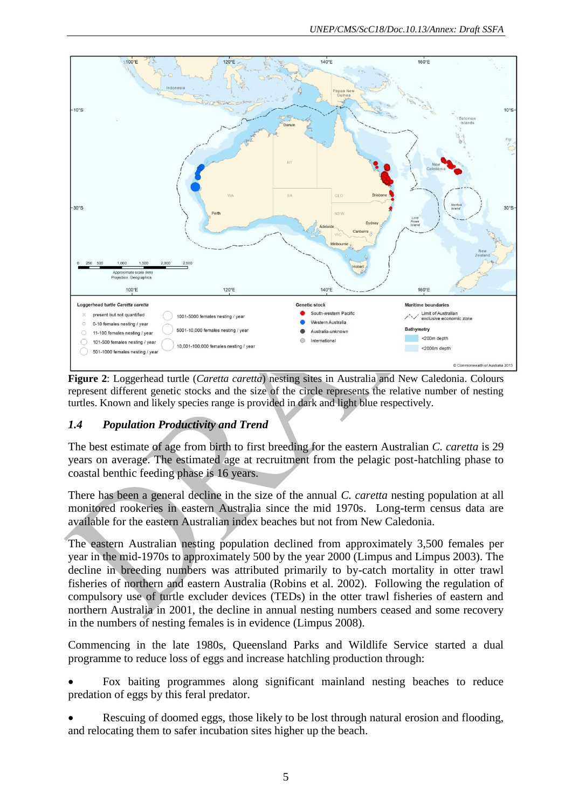

**Figure 2**: Loggerhead turtle (*Caretta caretta*) nesting sites in Australia and New Caledonia. Colours represent different genetic stocks and the size of the circle represents the relative number of nesting turtles. Known and likely species range is provided in dark and light blue respectively.

## *1.4 Population Productivity and Trend*

The best estimate of age from birth to first breeding for the eastern Australian *C. caretta* is 29 years on average. The estimated age at recruitment from the pelagic post-hatchling phase to coastal benthic feeding phase is 16 years.

There has been a general decline in the size of the annual *C. caretta* nesting population at all monitored rookeries in eastern Australia since the mid 1970s. Long-term census data are available for the eastern Australian index beaches but not from New Caledonia.

The eastern Australian nesting population declined from approximately 3,500 females per year in the mid-1970s to approximately 500 by the year 2000 (Limpus and Limpus 2003). The decline in breeding numbers was attributed primarily to by-catch mortality in otter trawl fisheries of northern and eastern Australia (Robins et al. 2002). Following the regulation of compulsory use of turtle excluder devices (TEDs) in the otter trawl fisheries of eastern and northern Australia in 2001, the decline in annual nesting numbers ceased and some recovery in the numbers of nesting females is in evidence (Limpus 2008).

Commencing in the late 1980s, Queensland Parks and Wildlife Service started a dual programme to reduce loss of eggs and increase hatchling production through:

 Fox baiting programmes along significant mainland nesting beaches to reduce predation of eggs by this feral predator.

 Rescuing of doomed eggs, those likely to be lost through natural erosion and flooding, and relocating them to safer incubation sites higher up the beach.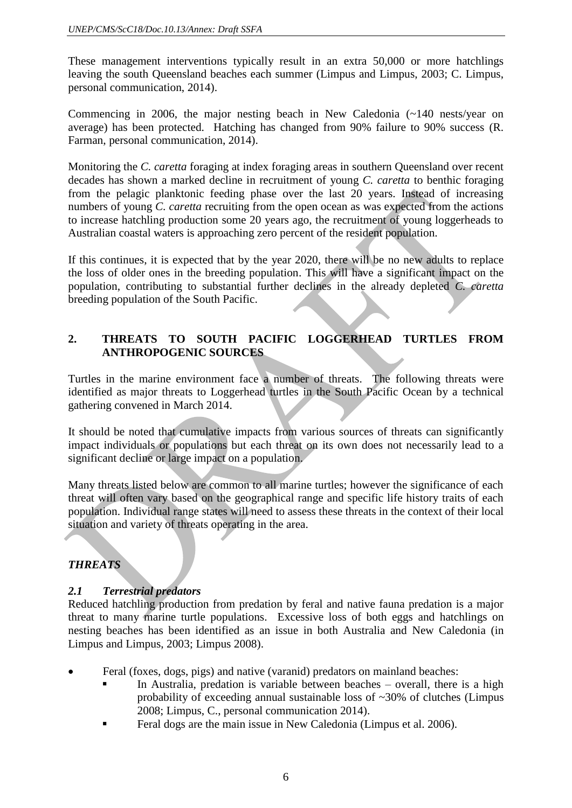These management interventions typically result in an extra 50,000 or more hatchlings leaving the south Queensland beaches each summer (Limpus and Limpus, 2003; C. Limpus, personal communication, 2014).

Commencing in 2006, the major nesting beach in New Caledonia (~140 nests/year on average) has been protected. Hatching has changed from 90% failure to 90% success (R. Farman, personal communication, 2014).

Monitoring the *C. caretta* foraging at index foraging areas in southern Queensland over recent decades has shown a marked decline in recruitment of young *C. caretta* to benthic foraging from the pelagic planktonic feeding phase over the last 20 years. Instead of increasing numbers of young *C. caretta* recruiting from the open ocean as was expected from the actions to increase hatchling production some 20 years ago, the recruitment of young loggerheads to Australian coastal waters is approaching zero percent of the resident population.

If this continues, it is expected that by the year 2020, there will be no new adults to replace the loss of older ones in the breeding population. This will have a significant impact on the population, contributing to substantial further declines in the already depleted *C. caretta* breeding population of the South Pacific.

#### **2. THREATS TO SOUTH PACIFIC LOGGERHEAD TURTLES FROM ANTHROPOGENIC SOURCES**

Turtles in the marine environment face a number of threats. The following threats were identified as major threats to Loggerhead turtles in the South Pacific Ocean by a technical gathering convened in March 2014.

It should be noted that cumulative impacts from various sources of threats can significantly impact individuals or populations but each threat on its own does not necessarily lead to a significant decline or large impact on a population.

Many threats listed below are common to all marine turtles; however the significance of each threat will often vary based on the geographical range and specific life history traits of each population. Individual range states will need to assess these threats in the context of their local situation and variety of threats operating in the area.

## *THREATS*

## *2.1 Terrestrial predators*

Reduced hatchling production from predation by feral and native fauna predation is a major threat to many marine turtle populations. Excessive loss of both eggs and hatchlings on nesting beaches has been identified as an issue in both Australia and New Caledonia (in Limpus and Limpus, 2003; Limpus 2008).

- Feral (foxes, dogs, pigs) and native (varanid) predators on mainland beaches:
	- In Australia, predation is variable between beaches overall, there is a high probability of exceeding annual sustainable loss of ~30% of clutches (Limpus 2008; Limpus, C., personal communication 2014).
	- Feral dogs are the main issue in New Caledonia (Limpus et al. 2006).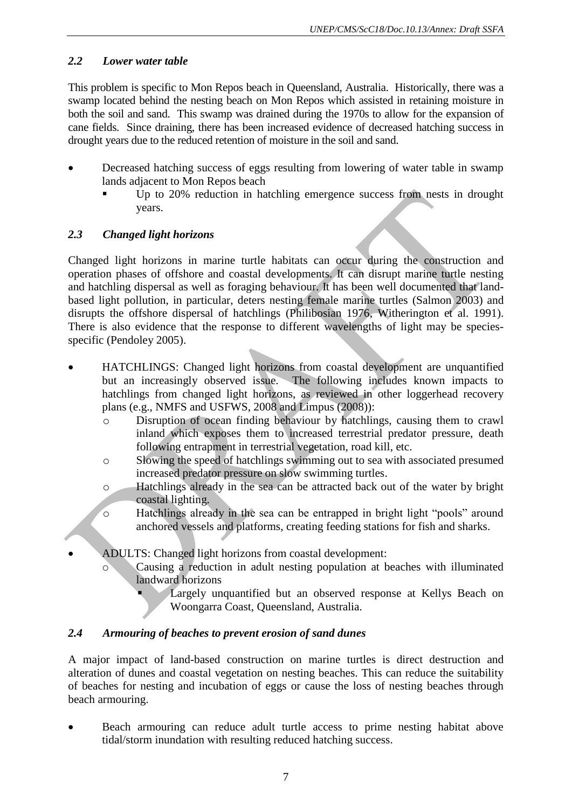## *2.2 Lower water table*

This problem is specific to Mon Repos beach in Queensland, Australia. Historically, there was a swamp located behind the nesting beach on Mon Repos which assisted in retaining moisture in both the soil and sand. This swamp was drained during the 1970s to allow for the expansion of cane fields. Since draining, there has been increased evidence of decreased hatching success in drought years due to the reduced retention of moisture in the soil and sand.

- Decreased hatching success of eggs resulting from lowering of water table in swamp lands adjacent to Mon Repos beach
	- Up to 20% reduction in hatchling emergence success from nests in drought years.

#### *2.3 Changed light horizons*

Changed light horizons in marine turtle habitats can occur during the construction and operation phases of offshore and coastal developments. It can disrupt marine turtle nesting and hatchling dispersal as well as foraging behaviour. It has been well documented that landbased light pollution, in particular, deters nesting female marine turtles [\(Salmon 2003\)](#page-43-0) and disrupts the offshore dispersal of hatchlings [\(Philibosian 1976,](#page-43-1) [Witherington et al. 1991\)](#page-43-2). There is also evidence that the response to different wavelengths of light may be speciesspecific (Pendoley 2005).

- HATCHLINGS: Changed light horizons from coastal development are unquantified but an increasingly observed issue. The following includes known impacts to hatchlings from changed light horizons, as reviewed in other loggerhead recovery plans (e.g., NMFS and USFWS, 2008 and Limpus (2008)):
	- o Disruption of ocean finding behaviour by hatchlings, causing them to crawl inland which exposes them to increased terrestrial predator pressure, death following entrapment in terrestrial vegetation, road kill, etc.
	- o Slowing the speed of hatchlings swimming out to sea with associated presumed increased predator pressure on slow swimming turtles.
	- o Hatchlings already in the sea can be attracted back out of the water by bright coastal lighting.
	- o Hatchlings already in the sea can be entrapped in bright light "pools" around anchored vessels and platforms, creating feeding stations for fish and sharks.
- ADULTS: Changed light horizons from coastal development:
	- Causing a reduction in adult nesting population at beaches with illuminated landward horizons
		- Largely unquantified but an observed response at Kellys Beach on Woongarra Coast, Queensland, Australia.

## *2.4 Armouring of beaches to prevent erosion of sand dunes*

A major impact of land-based construction on marine turtles is direct destruction and alteration of dunes and coastal vegetation on nesting beaches. This can reduce the suitability of beaches for nesting and incubation of eggs or cause the loss of nesting beaches through beach armouring.

 Beach armouring can reduce adult turtle access to prime nesting habitat above tidal/storm inundation with resulting reduced hatching success.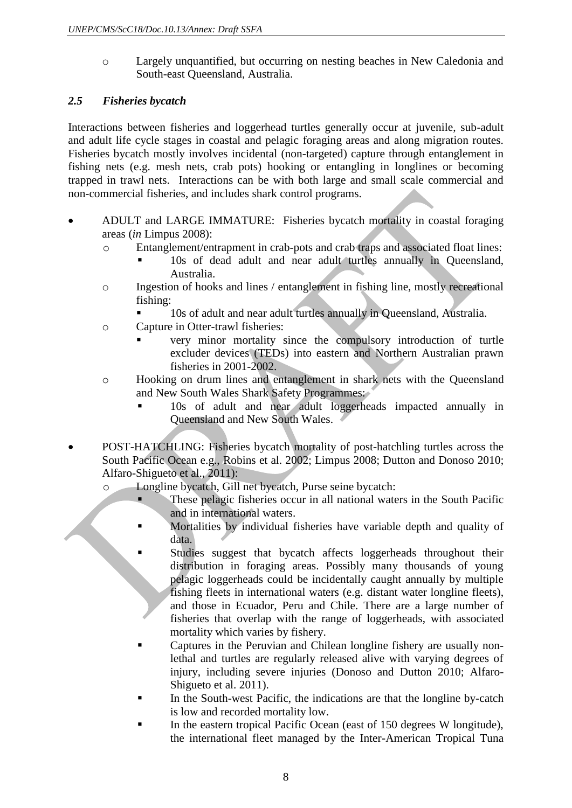o Largely unquantified, but occurring on nesting beaches in New Caledonia and South-east Queensland, Australia.

### *2.5 Fisheries bycatch*

Interactions between fisheries and loggerhead turtles generally occur at juvenile, sub-adult and adult life cycle stages in coastal and pelagic foraging areas and along migration routes. Fisheries bycatch mostly involves incidental (non-targeted) capture through entanglement in fishing nets (e.g. mesh nets, crab pots) hooking or entangling in longlines or becoming trapped in trawl nets. Interactions can be with both large and small scale commercial and non-commercial fisheries, and includes shark control programs.

- ADULT and LARGE IMMATURE: Fisheries bycatch mortality in coastal foraging areas (*in* Limpus 2008):
	- o Entanglement/entrapment in crab-pots and crab traps and associated float lines:
		- 10s of dead adult and near adult turtles annually in Queensland, Australia.
	- o Ingestion of hooks and lines / entanglement in fishing line, mostly recreational fishing:
		- 10s of adult and near adult turtles annually in Queensland, Australia.
	- o Capture in Otter-trawl fisheries:
		- very minor mortality since the compulsory introduction of turtle excluder devices (TEDs) into eastern and Northern Australian prawn fisheries in 2001-2002.
	- o Hooking on drum lines and entanglement in shark nets with the Queensland and New South Wales Shark Safety Programmes:
		- **10s** of adult and near adult loggerheads impacted annually in Queensland and New South Wales.
- POST-HATCHLING: Fisheries bycatch mortality of post-hatchling turtles across the South Pacific Ocean e.g., Robins et al. 2002; Limpus 2008; Dutton and Donoso 2010; Alfaro-Shigueto et al., 2011):
	- o Longline bycatch, Gill net bycatch, Purse seine bycatch:
		- These pelagic fisheries occur in all national waters in the South Pacific and in international waters.
		- Mortalities by individual fisheries have variable depth and quality of data.
			- Studies suggest that bycatch affects loggerheads throughout their distribution in foraging areas. Possibly many thousands of young pelagic loggerheads could be incidentally caught annually by multiple fishing fleets in international waters (e.g. distant water longline fleets), and those in Ecuador, Peru and Chile. There are a large number of fisheries that overlap with the range of loggerheads, with associated mortality which varies by fishery.
		- Captures in the Peruvian and Chilean longline fishery are usually nonlethal and turtles are regularly released alive with varying degrees of injury, including severe injuries (Donoso and Dutton 2010; Alfaro-Shigueto et al. 2011).
		- In the South-west Pacific, the indications are that the longline by-catch is low and recorded mortality low.
		- In the eastern tropical Pacific Ocean (east of 150 degrees W longitude), the international fleet managed by the Inter-American Tropical Tuna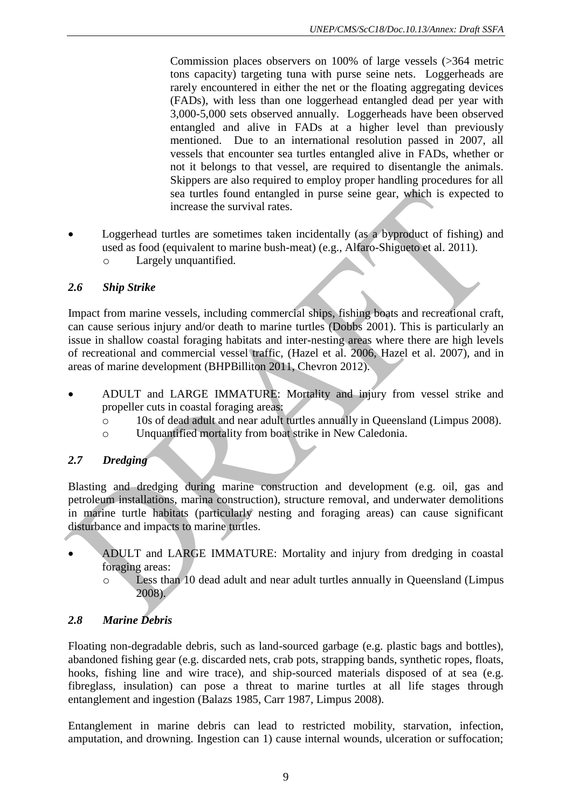Commission places observers on 100% of large vessels (>364 metric tons capacity) targeting tuna with purse seine nets. Loggerheads are rarely encountered in either the net or the floating aggregating devices (FADs), with less than one loggerhead entangled dead per year with 3,000-5,000 sets observed annually. Loggerheads have been observed entangled and alive in FADs at a higher level than previously mentioned. Due to an international resolution passed in 2007, all vessels that encounter sea turtles entangled alive in FADs, whether or not it belongs to that vessel, are required to disentangle the animals. Skippers are also required to employ proper handling procedures for all sea turtles found entangled in purse seine gear, which is expected to increase the survival rates.

 Loggerhead turtles are sometimes taken incidentally (as a byproduct of fishing) and used as food (equivalent to marine bush-meat) (e.g., Alfaro-Shigueto et al. 2011). o Largely unquantified.

#### *2.6 Ship Strike*

Impact from marine vessels, including commercial ships, fishing boats and recreational craft, can cause serious injury and/or death to marine turtles (Dobbs 2001). This is particularly an issue in shallow coastal foraging habitats and inter-nesting areas where there are high levels of recreational and commercial vessel traffic, (Hazel et al. 2006, Hazel et al. 2007), and in areas of marine development [\(BHPBilliton 2011,](#page-42-0) Chevron 2012).

- ADULT and LARGE IMMATURE: Mortality and injury from vessel strike and propeller cuts in coastal foraging areas:
	- o 10s of dead adult and near adult turtles annually in Queensland (Limpus 2008).
	- o Unquantified mortality from boat strike in New Caledonia.

## *2.7 Dredging*

Blasting and dredging during marine construction and development (e.g. oil, gas and petroleum installations, marina construction), structure removal, and underwater demolitions in marine turtle habitats (particularly nesting and foraging areas) can cause significant disturbance and impacts to marine turtles.

- ADULT and LARGE IMMATURE: Mortality and injury from dredging in coastal foraging areas:
	- o Less than 10 dead adult and near adult turtles annually in Queensland (Limpus 2008).

## *2.8 Marine Debris*

Floating non-degradable debris, such as land-sourced garbage (e.g. plastic bags and bottles), abandoned fishing gear (e.g. discarded nets, crab pots, strapping bands, synthetic ropes, floats, hooks, fishing line and wire trace), and ship-sourced materials disposed of at sea (e.g. fibreglass, insulation) can pose a threat to marine turtles at all life stages through entanglement and ingestion [\(Balazs 1985,](#page-42-1) [Carr 1987,](#page-42-2) Limpus 2008).

Entanglement in marine debris can lead to restricted mobility, starvation, infection, amputation, and drowning. Ingestion can 1) cause internal wounds, ulceration or suffocation;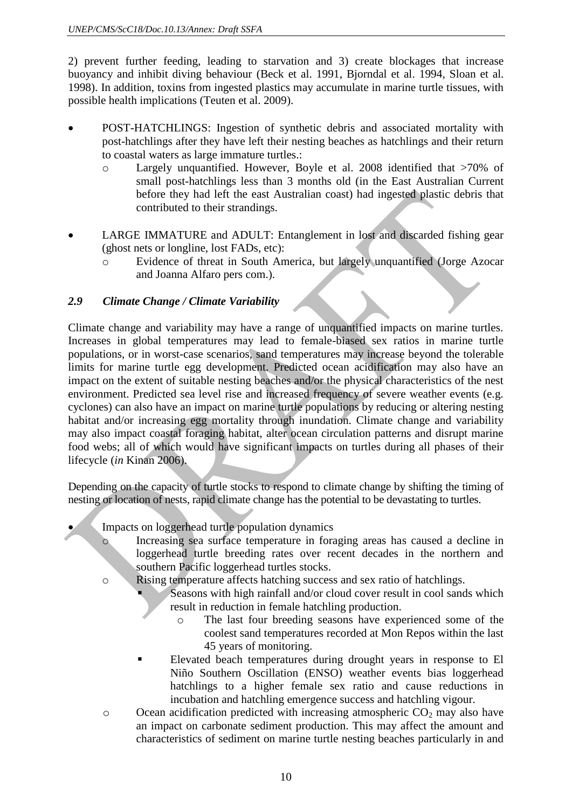2) prevent further feeding, leading to starvation and 3) create blockages that increase buoyancy and inhibit diving behaviour (Beck et al. 1991, [Bjorndal et al. 1994,](#page-42-3) Sloan et al. 1998). In addition, toxins from ingested plastics may accumulate in marine turtle tissues, with possible health implications [\(Teuten et al. 2009\)](#page-43-3).

- POST-HATCHLINGS: Ingestion of synthetic debris and associated mortality with post-hatchlings after they have left their nesting beaches as hatchlings and their return to coastal waters as large immature turtles.:
	- o Largely unquantified. However, Boyle et al. 2008 identified that >70% of small post-hatchlings less than 3 months old (in the East Australian Current before they had left the east Australian coast) had ingested plastic debris that contributed to their strandings.
- LARGE IMMATURE and ADULT: Entanglement in lost and discarded fishing gear (ghost nets or longline, lost FADs, etc):
	- o Evidence of threat in South America, but largely unquantified (Jorge Azocar and Joanna Alfaro pers com.).

#### *2.9 Climate Change / Climate Variability*

Climate change and variability may have a range of unquantified impacts on marine turtles. Increases in global temperatures may lead to female-biased sex ratios in marine turtle populations, or in worst-case scenarios, sand temperatures may increase beyond the tolerable limits for marine turtle egg development. Predicted ocean acidification may also have an impact on the extent of suitable nesting beaches and/or the physical characteristics of the nest environment. Predicted sea level rise and increased frequency of severe weather events (e.g. cyclones) can also have an impact on marine turtle populations by reducing or altering nesting habitat and/or increasing egg mortality through inundation. Climate change and variability may also impact coastal foraging habitat, alter ocean circulation patterns and disrupt marine food webs; all of which would have significant impacts on turtles during all phases of their lifecycle (*in* Kinan 2006).

Depending on the capacity of turtle stocks to respond to climate change by shifting the timing of nesting or location of nests, rapid climate change has the potential to be devastating to turtles.

- Impacts on loggerhead turtle population dynamics
	- Increasing sea surface temperature in foraging areas has caused a decline in loggerhead turtle breeding rates over recent decades in the northern and southern Pacific loggerhead turtles stocks.
	- o Rising temperature affects hatching success and sex ratio of hatchlings.
		- Seasons with high rainfall and/or cloud cover result in cool sands which result in reduction in female hatchling production.
			- o The last four breeding seasons have experienced some of the coolest sand temperatures recorded at Mon Repos within the last 45 years of monitoring.
		- Elevated beach temperatures during drought years in response to El Niño Southern Oscillation (ENSO) weather events bias loggerhead hatchlings to a higher female sex ratio and cause reductions in incubation and hatchling emergence success and hatchling vigour.
	- $\circ$  Ocean acidification predicted with increasing atmospheric  $CO<sub>2</sub>$  may also have an impact on carbonate sediment production. This may affect the amount and characteristics of sediment on marine turtle nesting beaches particularly in and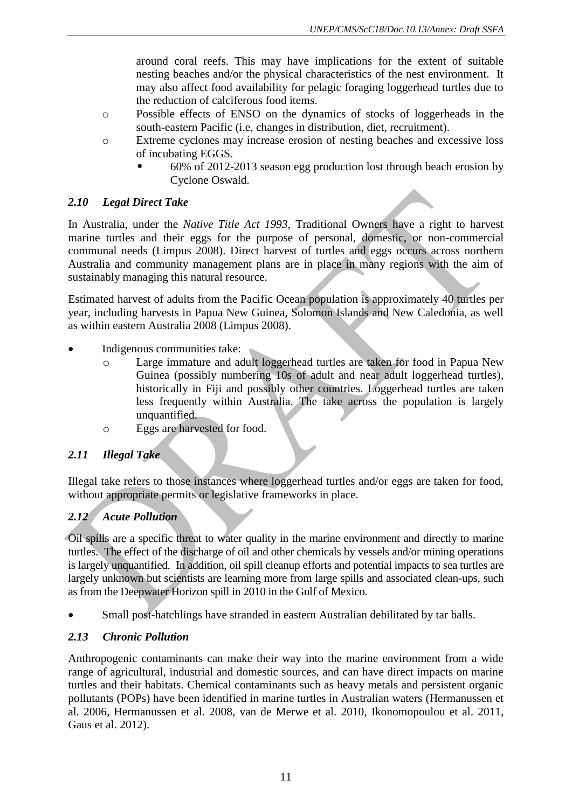around coral reefs. This may have implications for the extent of suitable nesting beaches and/or the physical characteristics of the nest environment. It may also affect food availability for pelagic foraging loggerhead turtles due to the reduction of calciferous food items.

- o Possible effects of ENSO on the dynamics of stocks of loggerheads in the south-eastern Pacific (i.e, changes in distribution, diet, recruitment).
- o Extreme cyclones may increase erosion of nesting beaches and excessive loss of incubating EGGS.
	- 60% of 2012-2013 season egg production lost through beach erosion by Cyclone Oswald.

#### *2.10 Legal Direct Take*

In Australia, under the *Native Title Act 1993*, Traditional Owners have a right to harvest marine turtles and their eggs for the purpose of personal, domestic, or non-commercial communal needs (Limpus 2008). Direct harvest of turtles and eggs occurs across northern Australia and community management plans are in place in many regions with the aim of sustainably managing this natural resource.

Estimated harvest of adults from the Pacific Ocean population is approximately 40 turtles per year, including harvests in Papua New Guinea, Solomon Islands and New Caledonia, as well as within eastern Australia 2008 (Limpus 2008).

- Indigenous communities take:
	- o Large immature and adult loggerhead turtles are taken for food in Papua New Guinea (possibly numbering 10s of adult and near adult loggerhead turtles), historically in Fiji and possibly other countries. Loggerhead turtles are taken less frequently within Australia. The take across the population is largely unquantified.
	- o Eggs are harvested for food.

#### *2.11 Illegal Take*

Illegal take refers to those instances where loggerhead turtles and/or eggs are taken for food, without appropriate permits or legislative frameworks in place.

## *2.12 Acute Pollution*

Oil spills are a specific threat to water quality in the marine environment and directly to marine turtles. The effect of the discharge of oil and other chemicals by vessels and/or mining operations is largely unquantified. In addition, oil spill cleanup efforts and potential impacts to sea turtles are largely unknown but scientists are learning more from large spills and associated clean-ups, such as from the Deepwater Horizon spill in 2010 in the Gulf of Mexico.

Small post-hatchlings have stranded in eastern Australian debilitated by tar balls.

## *2.13 Chronic Pollution*

Anthropogenic contaminants can make their way into the marine environment from a wide range of agricultural, industrial and domestic sources, and can have direct impacts on marine turtles and their habitats. Chemical contaminants such as heavy metals and persistent organic pollutants (POPs) have been identified in marine turtles in Australian waters [\(Hermanussen et](#page-42-4)  [al. 2006,](#page-42-4) [Hermanussen et al. 2008,](#page-43-4) [van de Merwe et al. 2010,](#page-43-5) [Ikonomopoulou](#page-43-6) et al. 2011, [Gaus et al. 2012\)](#page-42-5).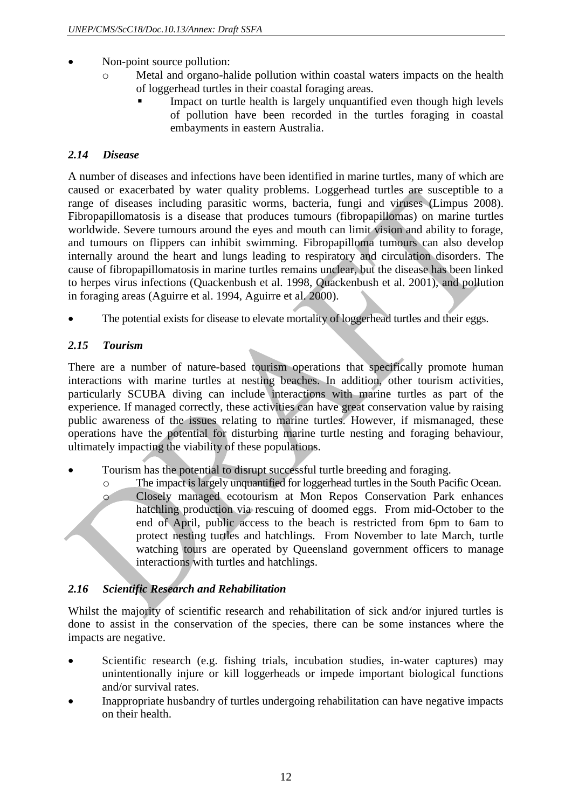- Non-point source pollution:
	- o Metal and organo-halide pollution within coastal waters impacts on the health of loggerhead turtles in their coastal foraging areas.
		- Impact on turtle health is largely unquantified even though high levels of pollution have been recorded in the turtles foraging in coastal embayments in eastern Australia.

### *2.14 Disease*

A number of diseases and infections have been identified in marine turtles, many of which are caused or exacerbated by water quality problems. Loggerhead turtles are susceptible to a range of diseases including parasitic worms, bacteria, fungi and viruses (Limpus 2008). Fibropapillomatosis is a disease that produces tumours (fibropapillomas) on marine turtles worldwide. Severe tumours around the eyes and mouth can limit vision and ability to forage, and tumours on flippers can inhibit swimming. Fibropapilloma tumours can also develop internally around the heart and lungs leading to respiratory and circulation disorders. The cause of fibropapillomatosis in marine turtles remains unclear, but the disease has been linked to herpes virus infections [\(Quackenbush et al. 1998,](#page-43-7) [Quackenbush et al. 2001\)](#page-43-8), and pollution in foraging areas [\(Aguirre et](#page-42-6) al. 1994, [Aguirre et al. 2000\)](#page-42-7).

The potential exists for disease to elevate mortality of loggerhead turtles and their eggs.

## *2.15 Tourism*

There are a number of nature-based tourism operations that specifically promote human interactions with marine turtles at nesting beaches. In addition, other tourism activities, particularly SCUBA diving can include interactions with marine turtles as part of the experience. If managed correctly, these activities can have great conservation value by raising public awareness of the issues relating to marine turtles. However, if mismanaged, these operations have the potential for disturbing marine turtle nesting and foraging behaviour, ultimately impacting the viability of these populations.

- Tourism has the potential to disrupt successful turtle breeding and foraging.
	- o The impact is largely unquantified for loggerhead turtles in the South Pacific Ocean. o Closely managed ecotourism at Mon Repos Conservation Park enhances hatchling production via rescuing of doomed eggs. From mid-October to the end of April, public access to the beach is restricted from 6pm to 6am to protect nesting turtles and hatchlings. From November to late March, turtle watching tours are operated by Queensland government officers to manage interactions with turtles and hatchlings.

#### *2.16 Scientific Research and Rehabilitation*

Whilst the majority of scientific research and rehabilitation of sick and/or injured turtles is done to assist in the conservation of the species, there can be some instances where the impacts are negative.

- Scientific research (e.g. fishing trials, incubation studies, in-water captures) may unintentionally injure or kill loggerheads or impede important biological functions and/or survival rates.
- Inappropriate husbandry of turtles undergoing rehabilitation can have negative impacts on their health.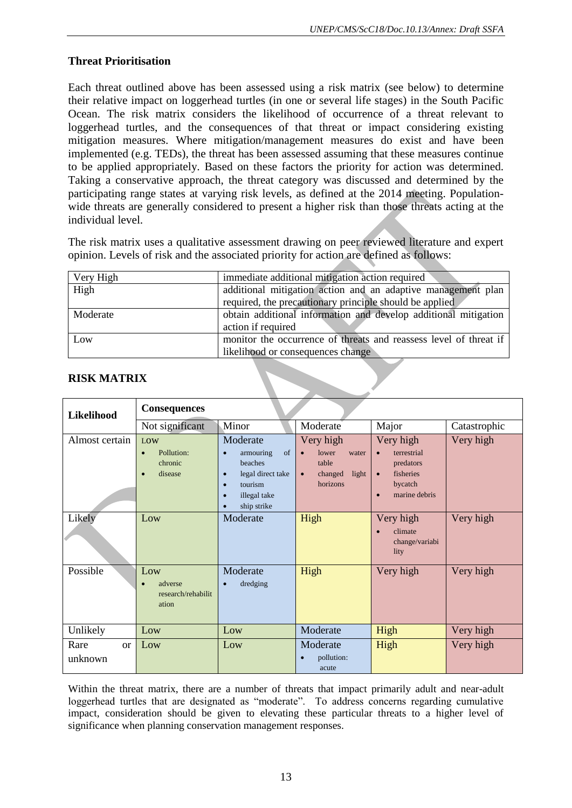## **Threat Prioritisation**

Each threat outlined above has been assessed using a risk matrix (see below) to determine their relative impact on loggerhead turtles (in one or several life stages) in the South Pacific Ocean. The risk matrix considers the likelihood of occurrence of a threat relevant to loggerhead turtles, and the consequences of that threat or impact considering existing mitigation measures. Where mitigation/management measures do exist and have been implemented (e.g. TEDs), the threat has been assessed assuming that these measures continue to be applied appropriately. Based on these factors the priority for action was determined. Taking a conservative approach, the threat category was discussed and determined by the participating range states at varying risk levels, as defined at the 2014 meeting. Populationwide threats are generally considered to present a higher risk than those threats acting at the individual level.

The risk matrix uses a qualitative assessment drawing on peer reviewed literature and expert opinion. Levels of risk and the associated priority for action are defined as follows:

| Very High | immediate additional mitigation action required                   |
|-----------|-------------------------------------------------------------------|
| High      | additional mitigation action and an adaptive management plan      |
|           | required, the precautionary principle should be applied           |
| Moderate  | obtain additional information and develop additional mitigation   |
|           | action if required                                                |
| Low       | monitor the occurrence of threats and reassess level of threat if |
|           | likelihood or consequences change                                 |

| Likelihood                       | <b>Consequences</b>                                               |                                                                                                                                                   |                                                                                                |                                                                                                                       |              |  |  |  |
|----------------------------------|-------------------------------------------------------------------|---------------------------------------------------------------------------------------------------------------------------------------------------|------------------------------------------------------------------------------------------------|-----------------------------------------------------------------------------------------------------------------------|--------------|--|--|--|
|                                  | Not significant                                                   | Minor                                                                                                                                             | Moderate                                                                                       | Major                                                                                                                 | Catastrophic |  |  |  |
| Almost certain                   | LOW<br>Pollution:<br>$\bullet$<br>chronic<br>disease<br>$\bullet$ | Moderate<br>of<br>armouring<br>$\bullet$<br>beaches<br>legal direct take<br>$\bullet$<br>tourism<br>c<br>illegal take<br>$\bullet$<br>ship strike | Very high<br>lower<br>water<br>$\bullet$<br>table<br>light<br>changed<br>$\bullet$<br>horizons | Very high<br>terrestrial<br>$\bullet$<br>predators<br>fisheries<br>$\bullet$<br>bycatch<br>marine debris<br>$\bullet$ | Very high    |  |  |  |
| Likely                           | Low                                                               | Moderate                                                                                                                                          | High                                                                                           | Very high<br>climate<br>change/variabi<br>lity                                                                        | Very high    |  |  |  |
| Possible                         | Low<br>adverse<br>research/rehabilit<br>ation                     | Moderate<br>dredging<br>$\bullet$                                                                                                                 | High                                                                                           | Very high                                                                                                             | Very high    |  |  |  |
| Unlikely                         | Low                                                               | Low                                                                                                                                               | Moderate                                                                                       | High                                                                                                                  | Very high    |  |  |  |
| Rare<br><sub>or</sub><br>unknown | Low                                                               | Low                                                                                                                                               | Moderate<br>pollution:<br>acute                                                                | High                                                                                                                  | Very high    |  |  |  |

#### **RISK MATRIX**

Within the threat matrix, there are a number of threats that impact primarily adult and near-adult loggerhead turtles that are designated as "moderate". To address concerns regarding cumulative impact, consideration should be given to elevating these particular threats to a higher level of significance when planning conservation management responses.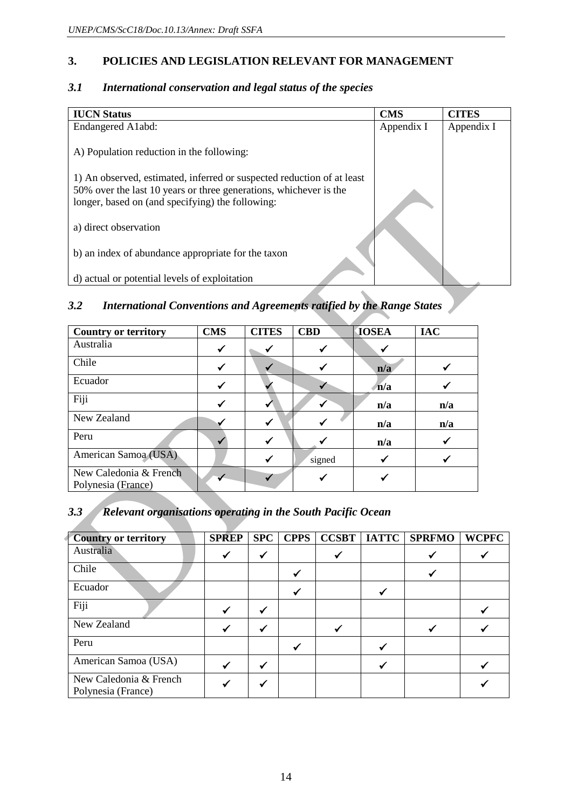### **3. POLICIES AND LEGISLATION RELEVANT FOR MANAGEMENT**

| <b>IUCN Status</b>                                                                                                                                                                              | <b>CMS</b> | <b>CITES</b> |
|-------------------------------------------------------------------------------------------------------------------------------------------------------------------------------------------------|------------|--------------|
| Endangered A1abd:                                                                                                                                                                               | Appendix I | Appendix I   |
| A) Population reduction in the following:                                                                                                                                                       |            |              |
| 1) An observed, estimated, inferred or suspected reduction of at least<br>50% over the last 10 years or three generations, whichever is the<br>longer, based on (and specifying) the following: |            |              |
| a) direct observation                                                                                                                                                                           |            |              |
| b) an index of abundance appropriate for the taxon                                                                                                                                              |            |              |
| d) actual or potential levels of exploitation                                                                                                                                                   |            |              |

#### *3.1 International conservation and legal status of the species*

## *3.2 International Conventions and Agreements ratified by the Range States*

| <b>Country or territory</b>                  | <b>CMS</b> | <b>CITES</b> | <b>CBD</b> | <b>IOSEA</b> | <b>IAC</b> |
|----------------------------------------------|------------|--------------|------------|--------------|------------|
| Australia                                    | ✓          | ✔            | ✓          |              |            |
| Chile                                        |            |              | ✔          | n/a          |            |
| Ecuador                                      | ✓          |              |            | n/a          |            |
| Fiji                                         |            |              |            | n/a          | n/a        |
| New Zealand                                  |            | ✔            |            | n/a          | n/a        |
| Peru                                         |            | ✔            |            | n/a          |            |
| American Samoa (USA)                         |            | ✔            | signed     |              |            |
| New Caledonia & French<br>Polynesia (France) |            |              |            |              |            |

## *3.3 Relevant organisations operating in the South Pacific Ocean*

| <b>Country or territory</b>                  | <b>SPREP</b> | <b>SPC</b> | <b>CPPS</b> | <b>CCSBT</b> | <b>IATTC</b> | <b>SPRFMO</b> | <b>WCPFC</b> |
|----------------------------------------------|--------------|------------|-------------|--------------|--------------|---------------|--------------|
| Australia                                    |              |            |             |              |              |               |              |
| Chile                                        |              |            |             |              |              |               |              |
| Ecuador                                      |              |            |             |              |              |               |              |
| Fiji                                         |              |            |             |              |              |               |              |
| New Zealand                                  |              |            |             |              |              |               |              |
| Peru                                         |              |            |             |              |              |               |              |
| American Samoa (USA)                         |              |            |             |              |              |               |              |
| New Caledonia & French<br>Polynesia (France) |              |            |             |              |              |               |              |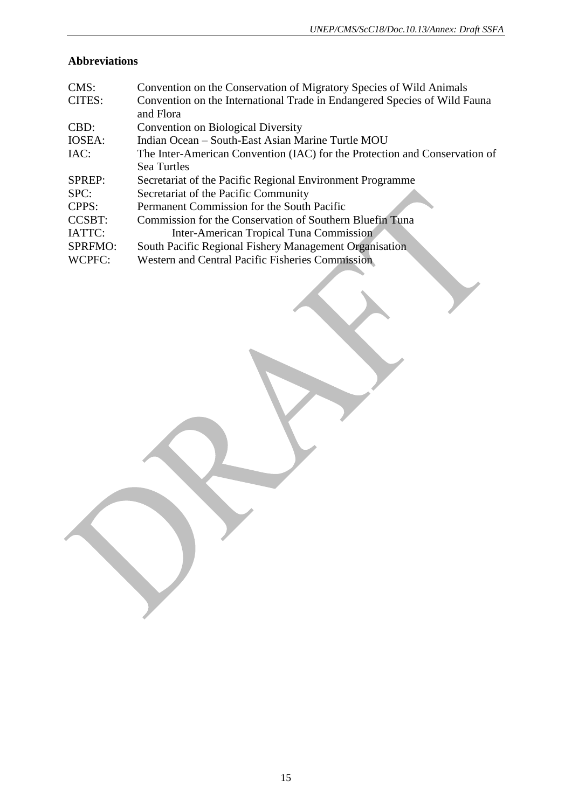## **Abbreviations**

| CMS:           | Convention on the Conservation of Migratory Species of Wild Animals        |
|----------------|----------------------------------------------------------------------------|
| CITES:         | Convention on the International Trade in Endangered Species of Wild Fauna  |
|                | and Flora                                                                  |
| CBD:           | <b>Convention on Biological Diversity</b>                                  |
| IOSEA:         | Indian Ocean – South-East Asian Marine Turtle MOU                          |
| IAC:           | The Inter-American Convention (IAC) for the Protection and Conservation of |
|                | Sea Turtles                                                                |
| <b>SPREP:</b>  | Secretariat of the Pacific Regional Environment Programme                  |
| SPC:           | Secretariat of the Pacific Community                                       |
| CPPS:          | Permanent Commission for the South Pacific                                 |
| <b>CCSBT:</b>  | Commission for the Conservation of Southern Bluefin Tuna                   |
| IATTC:         | Inter-American Tropical Tuna Commission                                    |
| <b>SPRFMO:</b> | South Pacific Regional Fishery Management Organisation                     |
| WCPFC:         | <b>Western and Central Pacific Fisheries Commission</b>                    |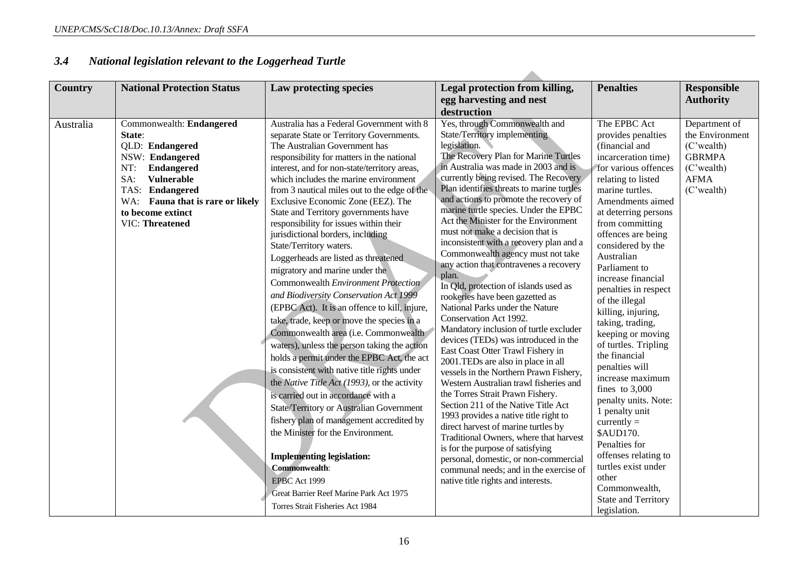| <b>Country</b> | <b>National Protection Status</b>                                                                                                                                                                                               | Law protecting species                                                                                                                                                                                                                                                                                                                                                                                                                                                                                                                                                                                                                                                                                                                                                                                                                                                                                                                                                                                                                                                                                                                                                                                                                                                                                                                       | Legal protection from killing,<br>egg harvesting and nest<br>destruction                                                                                                                                                                                                                                                                                                                                                                                                                                                                                                                                                                                                                                                                                                                                                                                                                                                                                                                                                                                                                                                                                                                                                                                                                                          | <b>Penalties</b>                                                                                                                                                                                                                                                                                                                                                                                                                                                                                                                                                                                                                                                                                                                        | <b>Responsible</b><br><b>Authority</b>                                                                        |  |
|----------------|---------------------------------------------------------------------------------------------------------------------------------------------------------------------------------------------------------------------------------|----------------------------------------------------------------------------------------------------------------------------------------------------------------------------------------------------------------------------------------------------------------------------------------------------------------------------------------------------------------------------------------------------------------------------------------------------------------------------------------------------------------------------------------------------------------------------------------------------------------------------------------------------------------------------------------------------------------------------------------------------------------------------------------------------------------------------------------------------------------------------------------------------------------------------------------------------------------------------------------------------------------------------------------------------------------------------------------------------------------------------------------------------------------------------------------------------------------------------------------------------------------------------------------------------------------------------------------------|-------------------------------------------------------------------------------------------------------------------------------------------------------------------------------------------------------------------------------------------------------------------------------------------------------------------------------------------------------------------------------------------------------------------------------------------------------------------------------------------------------------------------------------------------------------------------------------------------------------------------------------------------------------------------------------------------------------------------------------------------------------------------------------------------------------------------------------------------------------------------------------------------------------------------------------------------------------------------------------------------------------------------------------------------------------------------------------------------------------------------------------------------------------------------------------------------------------------------------------------------------------------------------------------------------------------|-----------------------------------------------------------------------------------------------------------------------------------------------------------------------------------------------------------------------------------------------------------------------------------------------------------------------------------------------------------------------------------------------------------------------------------------------------------------------------------------------------------------------------------------------------------------------------------------------------------------------------------------------------------------------------------------------------------------------------------------|---------------------------------------------------------------------------------------------------------------|--|
| Australia      | Commonwealth: Endangered<br>State:<br>QLD: Endangered<br>NSW: Endangered<br>NT:<br>Endangered<br>SA:<br><b>Vulnerable</b><br>TAS: Endangered<br>WA: Fauna that is rare or likely<br>to become extinct<br><b>VIC: Threatened</b> | Australia has a Federal Government with 8<br>separate State or Territory Governments.<br>The Australian Government has<br>responsibility for matters in the national<br>interest, and for non-state/territory areas,<br>which includes the marine environment<br>from 3 nautical miles out to the edge of the<br>Exclusive Economic Zone (EEZ). The<br>State and Territory governments have<br>responsibility for issues within their<br>jurisdictional borders, including<br>State/Territory waters.<br>Loggerheads are listed as threatened<br>migratory and marine under the<br>Commonwealth Environment Protection<br>and Biodiversity Conservation Act 1999<br>(EPBC Act). It is an offence to kill, injure,<br>take, trade, keep or move the species in a<br>Commonwealth area (i.e. Commonwealth<br>waters), unless the person taking the action<br>holds a permit under the EPBC Act, the act<br>is consistent with native title rights under<br>the Native Title Act (1993), or the activity<br>is carried out in accordance with a<br><b>State/Territory or Australian Government</b><br>fishery plan of management accredited by<br>the Minister for the Environment.<br><b>Implementing legislation:</b><br><b>Commonwealth:</b><br>EPBC Act 1999<br>Great Barrier Reef Marine Park Act 1975<br>Torres Strait Fisheries Act 1984 | Yes, through Commonwealth and<br>State/Territory implementing<br>legislation.<br>The Recovery Plan for Marine Turtles<br>in Australia was made in 2003 and is<br>currently being revised. The Recovery<br>Plan identifies threats to marine turtles<br>and actions to promote the recovery of<br>marine turtle species. Under the EPBC<br>Act the Minister for the Environment<br>must not make a decision that is<br>inconsistent with a recovery plan and a<br>Commonwealth agency must not take<br>any action that contravenes a recovery<br>plan.<br>In Qld, protection of islands used as<br>rookeries have been gazetted as<br>National Parks under the Nature<br>Conservation Act 1992.<br>Mandatory inclusion of turtle excluder<br>devices (TEDs) was introduced in the<br>East Coast Otter Trawl Fishery in<br>2001.TEDs are also in place in all<br>vessels in the Northern Prawn Fishery,<br>Western Australian trawl fisheries and<br>the Torres Strait Prawn Fishery.<br>Section 211 of the Native Title Act<br>1993 provides a native title right to<br>direct harvest of marine turtles by<br>Traditional Owners, where that harvest<br>is for the purpose of satisfying<br>personal, domestic, or non-commercial<br>communal needs; and in the exercise of<br>native title rights and interests. | The EPBC Act<br>provides penalties<br>(financial and<br>incarceration time)<br>for various offences<br>relating to listed<br>marine turtles.<br>Amendments aimed<br>at deterring persons<br>from committing<br>offences are being<br>considered by the<br>Australian<br>Parliament to<br>increase financial<br>penalties in respect<br>of the illegal<br>killing, injuring,<br>taking, trading,<br>keeping or moving<br>of turtles. Tripling<br>the financial<br>penalties will<br>increase maximum<br>fines to $3,000$<br>penalty units. Note:<br>1 penalty unit<br>currently $=$<br>\$AUD170.<br>Penalties for<br>offenses relating to<br>turtles exist under<br>other<br>Commonwealth,<br><b>State and Territory</b><br>legislation. | Department of<br>the Environment<br>(C'wealth)<br><b>GBRMPA</b><br>(C'wealth)<br><b>AFMA</b><br>$(C'$ wealth) |  |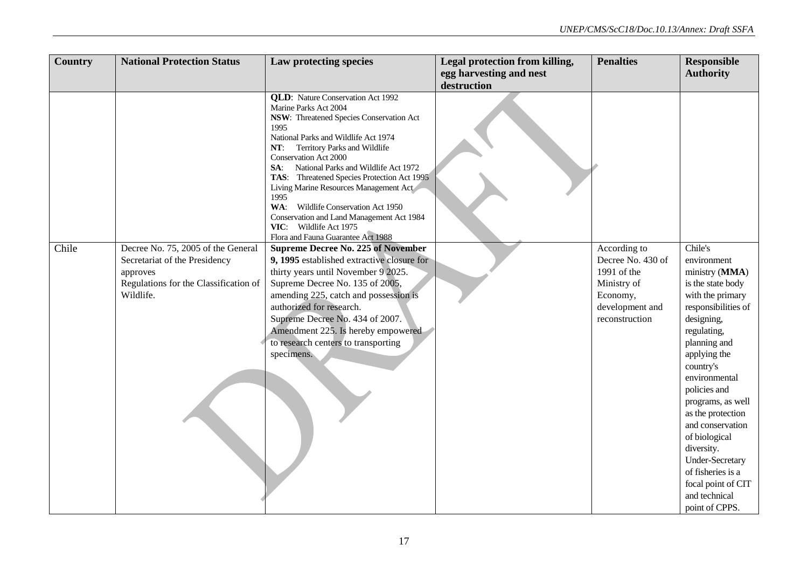| Country | <b>National Protection Status</b>     | Law protecting species                                                    | Legal protection from killing, | <b>Penalties</b>  | <b>Responsible</b>     |
|---------|---------------------------------------|---------------------------------------------------------------------------|--------------------------------|-------------------|------------------------|
|         |                                       |                                                                           | egg harvesting and nest        |                   | <b>Authority</b>       |
|         |                                       |                                                                           | destruction                    |                   |                        |
|         |                                       | <b>QLD:</b> Nature Conservation Act 1992                                  |                                |                   |                        |
|         |                                       | Marine Parks Act 2004                                                     |                                |                   |                        |
|         |                                       | NSW: Threatened Species Conservation Act                                  |                                |                   |                        |
|         |                                       | 1995                                                                      |                                |                   |                        |
|         |                                       | National Parks and Wildlife Act 1974                                      |                                |                   |                        |
|         |                                       | Territory Parks and Wildlife<br>NT:<br>Conservation Act 2000              |                                |                   |                        |
|         |                                       | National Parks and Wildlife Act 1972<br>SA:                               |                                |                   |                        |
|         |                                       | TAS: Threatened Species Protection Act 1995                               |                                |                   |                        |
|         |                                       | Living Marine Resources Management Act                                    |                                |                   |                        |
|         |                                       | 1995                                                                      |                                |                   |                        |
|         |                                       | WA: Wildlife Conservation Act 1950                                        |                                |                   |                        |
|         |                                       | Conservation and Land Management Act 1984                                 |                                |                   |                        |
|         |                                       | VIC: Wildlife Act 1975<br>Flora and Fauna Guarantee Act 1988              |                                |                   |                        |
| Chile   | Decree No. 75, 2005 of the General    | <b>Supreme Decree No. 225 of November</b>                                 |                                | According to      | Chile's                |
|         | Secretariat of the Presidency         | 9, 1995 established extractive closure for                                |                                | Decree No. 430 of | environment            |
|         | approves                              | thirty years until November 9 2025.                                       |                                | 1991 of the       | ministry (MMA)         |
|         | Regulations for the Classification of | Supreme Decree No. 135 of 2005,                                           |                                | Ministry of       | is the state body      |
|         | Wildlife.                             | amending 225, catch and possession is                                     |                                | Economy,          | with the primary       |
|         |                                       | authorized for research.                                                  |                                | development and   | responsibilities of    |
|         |                                       | Supreme Decree No. 434 of 2007.                                           |                                | reconstruction    | designing,             |
|         |                                       |                                                                           |                                |                   |                        |
|         |                                       | Amendment 225. Is hereby empowered<br>to research centers to transporting |                                |                   | regulating,            |
|         |                                       |                                                                           |                                |                   | planning and           |
|         |                                       | specimens.                                                                |                                |                   | applying the           |
|         |                                       |                                                                           |                                |                   | country's              |
|         |                                       |                                                                           |                                |                   | environmental          |
|         |                                       |                                                                           |                                |                   | policies and           |
|         |                                       |                                                                           |                                |                   | programs, as well      |
|         |                                       |                                                                           |                                |                   | as the protection      |
|         |                                       |                                                                           |                                |                   | and conservation       |
|         |                                       |                                                                           |                                |                   | of biological          |
|         |                                       |                                                                           |                                |                   | diversity.             |
|         |                                       |                                                                           |                                |                   | <b>Under-Secretary</b> |
|         |                                       |                                                                           |                                |                   | of fisheries is a      |
|         |                                       |                                                                           |                                |                   | focal point of CIT     |
|         |                                       |                                                                           |                                |                   | and technical          |
|         |                                       |                                                                           |                                |                   | point of CPPS.         |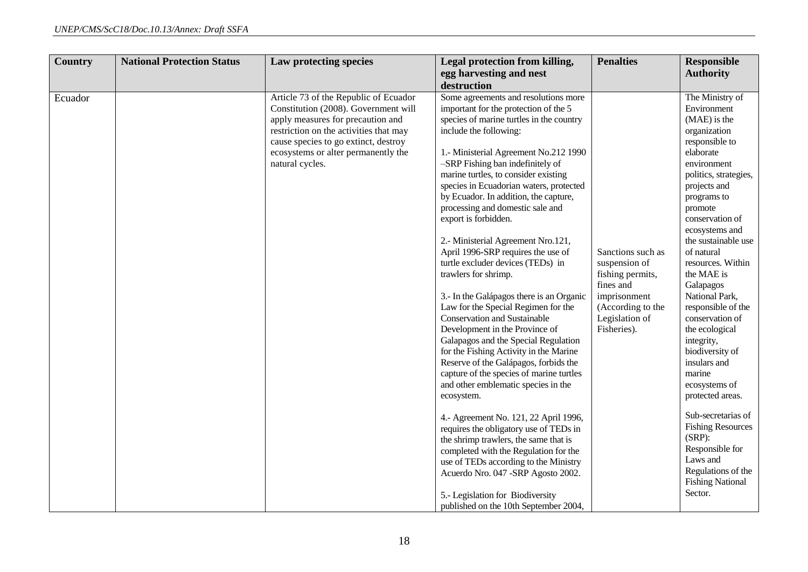| <b>Country</b> | <b>National Protection Status</b> | Law protecting species                                                                                                                                                                                                                                         | Legal protection from killing,                                                                                                                                                                                                                                                                                                                                                                                                                                                                                                                                                                                                                                                                                                                                                                                                                                                                                                                                         | <b>Penalties</b>                                                                                                                          | <b>Responsible</b>                                                                                                                                                                                                                                                                                                                                                                                                                                                                     |
|----------------|-----------------------------------|----------------------------------------------------------------------------------------------------------------------------------------------------------------------------------------------------------------------------------------------------------------|------------------------------------------------------------------------------------------------------------------------------------------------------------------------------------------------------------------------------------------------------------------------------------------------------------------------------------------------------------------------------------------------------------------------------------------------------------------------------------------------------------------------------------------------------------------------------------------------------------------------------------------------------------------------------------------------------------------------------------------------------------------------------------------------------------------------------------------------------------------------------------------------------------------------------------------------------------------------|-------------------------------------------------------------------------------------------------------------------------------------------|----------------------------------------------------------------------------------------------------------------------------------------------------------------------------------------------------------------------------------------------------------------------------------------------------------------------------------------------------------------------------------------------------------------------------------------------------------------------------------------|
|                |                                   |                                                                                                                                                                                                                                                                | destruction                                                                                                                                                                                                                                                                                                                                                                                                                                                                                                                                                                                                                                                                                                                                                                                                                                                                                                                                                            |                                                                                                                                           |                                                                                                                                                                                                                                                                                                                                                                                                                                                                                        |
| Ecuador        |                                   | Article 73 of the Republic of Ecuador<br>Constitution (2008). Government will<br>apply measures for precaution and<br>restriction on the activities that may<br>cause species to go extinct, destroy<br>ecosystems or alter permanently the<br>natural cycles. | egg harvesting and nest<br>Some agreements and resolutions more<br>important for the protection of the 5<br>species of marine turtles in the country<br>include the following:<br>1.- Ministerial Agreement No.212 1990<br>-SRP Fishing ban indefinitely of<br>marine turtles, to consider existing<br>species in Ecuadorian waters, protected<br>by Ecuador. In addition, the capture,<br>processing and domestic sale and<br>export is forbidden.<br>2.- Ministerial Agreement Nro.121,<br>April 1996-SRP requires the use of<br>turtle excluder devices (TEDs) in<br>trawlers for shrimp.<br>3.- In the Galápagos there is an Organic<br>Law for the Special Regimen for the<br><b>Conservation and Sustainable</b><br>Development in the Province of<br>Galapagos and the Special Regulation<br>for the Fishing Activity in the Marine<br>Reserve of the Galápagos, forbids the<br>capture of the species of marine turtles<br>and other emblematic species in the | Sanctions such as<br>suspension of<br>fishing permits,<br>fines and<br>imprisonment<br>(According to the<br>Legislation of<br>Fisheries). | <b>Authority</b><br>The Ministry of<br>Environment<br>(MAE) is the<br>organization<br>responsible to<br>elaborate<br>environment<br>politics, strategies,<br>projects and<br>programs to<br>promote<br>conservation of<br>ecosystems and<br>the sustainable use<br>of natural<br>resources. Within<br>the MAE is<br>Galapagos<br>National Park,<br>responsible of the<br>conservation of<br>the ecological<br>integrity,<br>biodiversity of<br>insulars and<br>marine<br>ecosystems of |
|                |                                   |                                                                                                                                                                                                                                                                | ecosystem.                                                                                                                                                                                                                                                                                                                                                                                                                                                                                                                                                                                                                                                                                                                                                                                                                                                                                                                                                             |                                                                                                                                           | protected areas.                                                                                                                                                                                                                                                                                                                                                                                                                                                                       |
|                |                                   |                                                                                                                                                                                                                                                                | 4.- Agreement No. 121, 22 April 1996,<br>requires the obligatory use of TEDs in<br>the shrimp trawlers, the same that is<br>completed with the Regulation for the<br>use of TEDs according to the Ministry<br>Acuerdo Nro. 047 -SRP Agosto 2002.                                                                                                                                                                                                                                                                                                                                                                                                                                                                                                                                                                                                                                                                                                                       |                                                                                                                                           | Sub-secretarias of<br><b>Fishing Resources</b><br>$(SRP)$ :<br>Responsible for<br>Laws and<br>Regulations of the<br><b>Fishing National</b><br>Sector.                                                                                                                                                                                                                                                                                                                                 |
|                |                                   |                                                                                                                                                                                                                                                                | 5.- Legislation for Biodiversity<br>published on the 10th September 2004,                                                                                                                                                                                                                                                                                                                                                                                                                                                                                                                                                                                                                                                                                                                                                                                                                                                                                              |                                                                                                                                           |                                                                                                                                                                                                                                                                                                                                                                                                                                                                                        |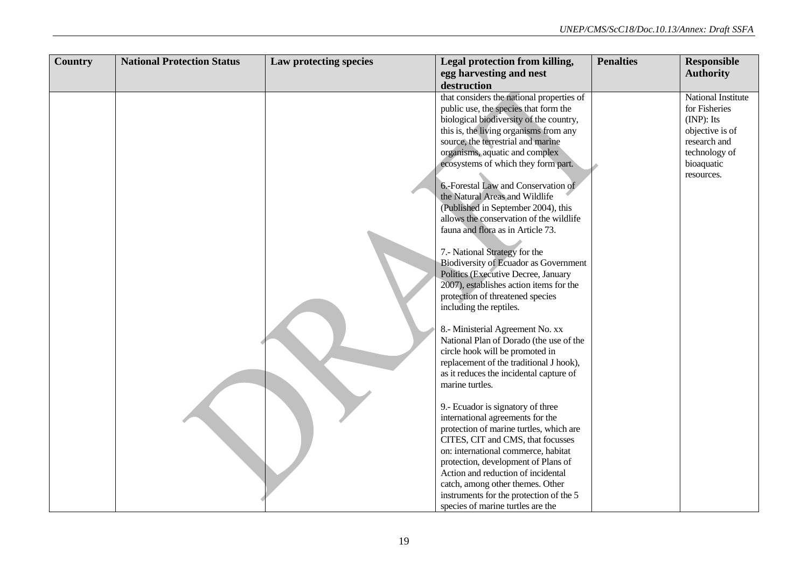| <b>Country</b> | <b>National Protection Status</b> | Law protecting species | Legal protection from killing,                                             | <b>Penalties</b> | <b>Responsible</b> |
|----------------|-----------------------------------|------------------------|----------------------------------------------------------------------------|------------------|--------------------|
|                |                                   |                        | egg harvesting and nest                                                    |                  | <b>Authority</b>   |
|                |                                   |                        | destruction                                                                |                  |                    |
|                |                                   |                        | that considers the national properties of                                  |                  | National Institute |
|                |                                   |                        | public use, the species that form the                                      |                  | for Fisheries      |
|                |                                   |                        | biological biodiversity of the country,                                    |                  | $(INP)$ : Its      |
|                |                                   |                        | this is, the living organisms from any                                     |                  | objective is of    |
|                |                                   |                        | source, the terrestrial and marine                                         |                  | research and       |
|                |                                   |                        | organisms, aquatic and complex                                             |                  | technology of      |
|                |                                   |                        | ecosystems of which they form part.                                        |                  | bioaquatic         |
|                |                                   |                        |                                                                            |                  | resources.         |
|                |                                   |                        | 6.-Forestal Law and Conservation of                                        |                  |                    |
|                |                                   |                        | the Natural Areas and Wildlife                                             |                  |                    |
|                |                                   |                        | (Published in September 2004), this                                        |                  |                    |
|                |                                   |                        | allows the conservation of the wildlife                                    |                  |                    |
|                |                                   |                        | fauna and flora as in Article 73.                                          |                  |                    |
|                |                                   |                        |                                                                            |                  |                    |
|                |                                   |                        | 7.- National Strategy for the                                              |                  |                    |
|                |                                   |                        | Biodiversity of Ecuador as Government                                      |                  |                    |
|                |                                   |                        | Politics (Executive Decree, January                                        |                  |                    |
|                |                                   |                        | 2007), establishes action items for the                                    |                  |                    |
|                |                                   |                        | protection of threatened species                                           |                  |                    |
|                |                                   |                        | including the reptiles.                                                    |                  |                    |
|                |                                   |                        |                                                                            |                  |                    |
|                |                                   |                        | 8.- Ministerial Agreement No. xx                                           |                  |                    |
|                |                                   |                        | National Plan of Dorado (the use of the<br>circle hook will be promoted in |                  |                    |
|                |                                   |                        | replacement of the traditional J hook),                                    |                  |                    |
|                |                                   |                        | as it reduces the incidental capture of                                    |                  |                    |
|                |                                   |                        | marine turtles.                                                            |                  |                    |
|                |                                   |                        |                                                                            |                  |                    |
|                |                                   |                        | 9.- Ecuador is signatory of three                                          |                  |                    |
|                |                                   |                        | international agreements for the                                           |                  |                    |
|                |                                   |                        | protection of marine turtles, which are                                    |                  |                    |
|                |                                   |                        | CITES, CIT and CMS, that focusses                                          |                  |                    |
|                |                                   |                        | on: international commerce, habitat                                        |                  |                    |
|                |                                   |                        | protection, development of Plans of                                        |                  |                    |
|                |                                   |                        | Action and reduction of incidental                                         |                  |                    |
|                |                                   |                        | catch, among other themes. Other                                           |                  |                    |
|                |                                   |                        | instruments for the protection of the 5                                    |                  |                    |
|                |                                   |                        | species of marine turtles are the                                          |                  |                    |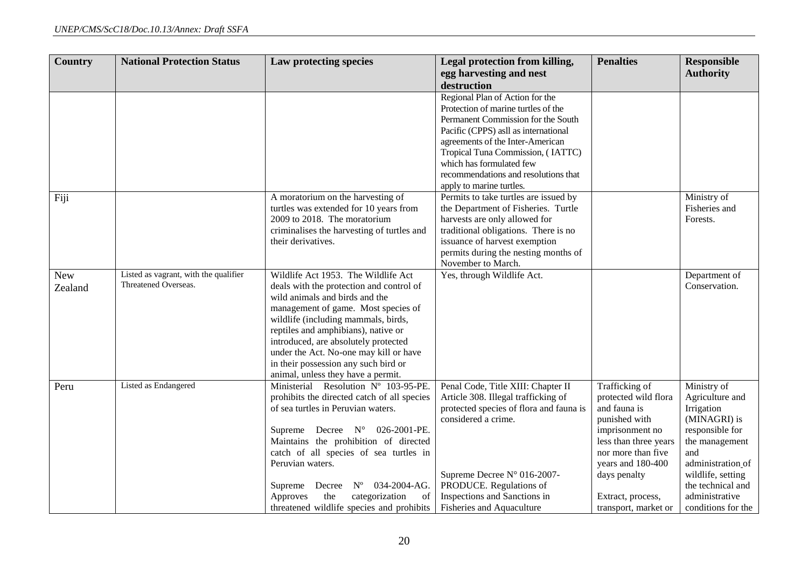| <b>Country</b> | <b>National Protection Status</b>     | Law protecting species                                                          | Legal protection from killing,                                           | <b>Penalties</b>                            | <b>Responsible</b>    |
|----------------|---------------------------------------|---------------------------------------------------------------------------------|--------------------------------------------------------------------------|---------------------------------------------|-----------------------|
|                |                                       |                                                                                 | egg harvesting and nest<br>destruction                                   |                                             | <b>Authority</b>      |
|                |                                       |                                                                                 | Regional Plan of Action for the                                          |                                             |                       |
|                |                                       |                                                                                 | Protection of marine turtles of the                                      |                                             |                       |
|                |                                       |                                                                                 | Permanent Commission for the South                                       |                                             |                       |
|                |                                       |                                                                                 | Pacific (CPPS) asll as international<br>agreements of the Inter-American |                                             |                       |
|                |                                       |                                                                                 | Tropical Tuna Commission, (IATTC)                                        |                                             |                       |
|                |                                       |                                                                                 | which has formulated few                                                 |                                             |                       |
|                |                                       |                                                                                 | recommendations and resolutions that                                     |                                             |                       |
|                |                                       |                                                                                 | apply to marine turtles.                                                 |                                             |                       |
| Fiji           |                                       | A moratorium on the harvesting of                                               | Permits to take turtles are issued by                                    |                                             | Ministry of           |
|                |                                       | turtles was extended for 10 years from                                          | the Department of Fisheries. Turtle                                      |                                             | Fisheries and         |
|                |                                       | 2009 to 2018. The moratorium                                                    | harvests are only allowed for                                            |                                             | Forests.              |
|                |                                       | criminalises the harvesting of turtles and<br>their derivatives.                | traditional obligations. There is no<br>issuance of harvest exemption    |                                             |                       |
|                |                                       |                                                                                 | permits during the nesting months of                                     |                                             |                       |
|                |                                       |                                                                                 | November to March.                                                       |                                             |                       |
| <b>New</b>     | Listed as vagrant, with the qualifier | Wildlife Act 1953. The Wildlife Act                                             | Yes, through Wildlife Act.                                               |                                             | Department of         |
| Zealand        | Threatened Overseas.                  | deals with the protection and control of                                        |                                                                          |                                             | Conservation.         |
|                |                                       | wild animals and birds and the                                                  |                                                                          |                                             |                       |
|                |                                       | management of game. Most species of                                             |                                                                          |                                             |                       |
|                |                                       | wildlife (including mammals, birds,                                             |                                                                          |                                             |                       |
|                |                                       | reptiles and amphibians), native or<br>introduced, are absolutely protected     |                                                                          |                                             |                       |
|                |                                       | under the Act. No-one may kill or have                                          |                                                                          |                                             |                       |
|                |                                       | in their possession any such bird or                                            |                                                                          |                                             |                       |
|                |                                       | animal, unless they have a permit.                                              |                                                                          |                                             |                       |
| Peru           | Listed as Endangered                  | Ministerial Resolution Nº 103-95-PE.                                            | Penal Code, Title XIII: Chapter II                                       | <b>Trafficking of</b>                       | Ministry of           |
|                |                                       | prohibits the directed catch of all species                                     | Article 308. Illegal trafficking of                                      | protected wild flora                        | Agriculture and       |
|                |                                       | of sea turtles in Peruvian waters.                                              | protected species of flora and fauna is                                  | and fauna is                                | Irrigation            |
|                |                                       |                                                                                 | considered a crime.                                                      | punished with                               | (MINAGRI) is          |
|                |                                       | Supreme Decree $N^{\circ}$ 026-2001-PE.                                         |                                                                          | imprisonment no                             | responsible for       |
|                |                                       | Maintains the prohibition of directed<br>catch of all species of sea turtles in |                                                                          | less than three years<br>nor more than five | the management<br>and |
|                |                                       | Peruvian waters.                                                                |                                                                          | years and 180-400                           | administration of     |
|                |                                       |                                                                                 | Supreme Decree N° 016-2007-                                              | days penalty                                | wildlife, setting     |
|                |                                       | Decree $N^{\circ}$ 034-2004-AG.<br>Supreme                                      | PRODUCE. Regulations of                                                  |                                             | the technical and     |
|                |                                       | categorization<br>Approves<br>the<br>of                                         | Inspections and Sanctions in                                             | Extract, process,                           | administrative        |
|                |                                       | threatened wildlife species and prohibits                                       | Fisheries and Aquaculture                                                | transport, market or                        | conditions for the    |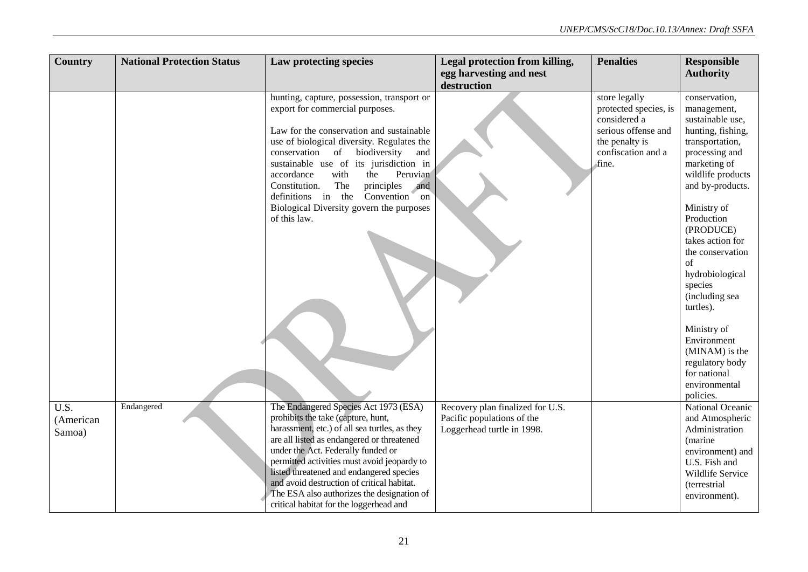| <b>Country</b>    | <b>National Protection Status</b> | Law protecting species                                                                  | Legal protection from killing,   | <b>Penalties</b>                     | <b>Responsible</b>              |
|-------------------|-----------------------------------|-----------------------------------------------------------------------------------------|----------------------------------|--------------------------------------|---------------------------------|
|                   |                                   |                                                                                         | egg harvesting and nest          |                                      | <b>Authority</b>                |
|                   |                                   |                                                                                         | destruction                      |                                      |                                 |
|                   |                                   | hunting, capture, possession, transport or                                              |                                  | store legally                        | conservation,                   |
|                   |                                   | export for commercial purposes.                                                         |                                  | protected species, is                | management,                     |
|                   |                                   |                                                                                         |                                  | considered a                         | sustainable use,                |
|                   |                                   | Law for the conservation and sustainable                                                |                                  | serious offense and                  | hunting, fishing,               |
|                   |                                   | use of biological diversity. Regulates the<br>conservation<br>of<br>biodiversity<br>and |                                  | the penalty is<br>confiscation and a | transportation,                 |
|                   |                                   | sustainable use of its jurisdiction in                                                  |                                  | fine.                                | processing and<br>marketing of  |
|                   |                                   | Peruvian<br>accordance<br>with<br>the                                                   |                                  |                                      | wildlife products               |
|                   |                                   | Constitution.<br>The<br>principles<br>and                                               |                                  |                                      | and by-products.                |
|                   |                                   | definitions in the Convention<br>on                                                     |                                  |                                      |                                 |
|                   |                                   | Biological Diversity govern the purposes                                                |                                  |                                      | Ministry of                     |
|                   |                                   | of this law.                                                                            |                                  |                                      | Production                      |
|                   |                                   |                                                                                         |                                  |                                      | (PRODUCE)                       |
|                   |                                   |                                                                                         |                                  |                                      | takes action for                |
|                   |                                   |                                                                                         |                                  |                                      | the conservation<br>of          |
|                   |                                   |                                                                                         |                                  |                                      | hydrobiological                 |
|                   |                                   |                                                                                         |                                  |                                      | species                         |
|                   |                                   |                                                                                         |                                  |                                      | (including sea                  |
|                   |                                   |                                                                                         |                                  |                                      | turtles).                       |
|                   |                                   |                                                                                         |                                  |                                      |                                 |
|                   |                                   |                                                                                         |                                  |                                      | Ministry of                     |
|                   |                                   |                                                                                         |                                  |                                      | Environment                     |
|                   |                                   |                                                                                         |                                  |                                      | (MINAM) is the                  |
|                   |                                   |                                                                                         |                                  |                                      | regulatory body<br>for national |
|                   |                                   |                                                                                         |                                  |                                      | environmental                   |
|                   |                                   |                                                                                         |                                  |                                      | policies.                       |
| $\overline{U.S.}$ | Endangered                        | The Endangered Species Act 1973 (ESA)                                                   | Recovery plan finalized for U.S. |                                      | National Oceanic                |
| (American         |                                   | prohibits the take (capture, hunt,                                                      | Pacific populations of the       |                                      | and Atmospheric                 |
| Samoa)            |                                   | harassment, etc.) of all sea turtles, as they                                           | Loggerhead turtle in 1998.       |                                      | Administration                  |
|                   |                                   | are all listed as endangered or threatened                                              |                                  |                                      | (marine)                        |
|                   |                                   | under the Act. Federally funded or                                                      |                                  |                                      | environment) and                |
|                   |                                   | permitted activities must avoid jeopardy to<br>listed threatened and endangered species |                                  |                                      | U.S. Fish and                   |
|                   |                                   | and avoid destruction of critical habitat.                                              |                                  |                                      | Wildlife Service                |
|                   |                                   | The ESA also authorizes the designation of                                              |                                  |                                      | (terrestrial<br>environment).   |
|                   |                                   | critical habitat for the loggerhead and                                                 |                                  |                                      |                                 |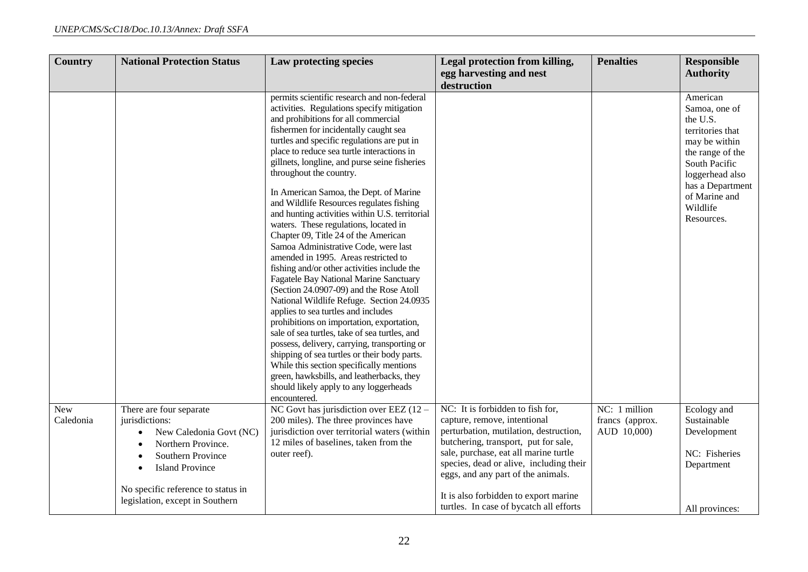| <b>Country</b>   | <b>National Protection Status</b>                                                                                                                                                                                  | Law protecting species                                                                                                                                                                                                                                                                                                                                                                                                                                                                                                                                                                                                                                                                                                                                                                                                                                                                                                                                                                                                                                                                                                                                                                                                               | Legal protection from killing,<br>egg harvesting and nest                                                                                                                                                                                                                                                                                                        | <b>Penalties</b>                                | <b>Responsible</b><br><b>Authority</b>                                                                                                                                                            |
|------------------|--------------------------------------------------------------------------------------------------------------------------------------------------------------------------------------------------------------------|--------------------------------------------------------------------------------------------------------------------------------------------------------------------------------------------------------------------------------------------------------------------------------------------------------------------------------------------------------------------------------------------------------------------------------------------------------------------------------------------------------------------------------------------------------------------------------------------------------------------------------------------------------------------------------------------------------------------------------------------------------------------------------------------------------------------------------------------------------------------------------------------------------------------------------------------------------------------------------------------------------------------------------------------------------------------------------------------------------------------------------------------------------------------------------------------------------------------------------------|------------------------------------------------------------------------------------------------------------------------------------------------------------------------------------------------------------------------------------------------------------------------------------------------------------------------------------------------------------------|-------------------------------------------------|---------------------------------------------------------------------------------------------------------------------------------------------------------------------------------------------------|
|                  |                                                                                                                                                                                                                    |                                                                                                                                                                                                                                                                                                                                                                                                                                                                                                                                                                                                                                                                                                                                                                                                                                                                                                                                                                                                                                                                                                                                                                                                                                      | destruction                                                                                                                                                                                                                                                                                                                                                      |                                                 |                                                                                                                                                                                                   |
|                  |                                                                                                                                                                                                                    | permits scientific research and non-federal<br>activities. Regulations specify mitigation<br>and prohibitions for all commercial<br>fishermen for incidentally caught sea<br>turtles and specific regulations are put in<br>place to reduce sea turtle interactions in<br>gillnets, longline, and purse seine fisheries<br>throughout the country.<br>In American Samoa, the Dept. of Marine<br>and Wildlife Resources regulates fishing<br>and hunting activities within U.S. territorial<br>waters. These regulations, located in<br>Chapter 09, Title 24 of the American<br>Samoa Administrative Code, were last<br>amended in 1995. Areas restricted to<br>fishing and/or other activities include the<br>Fagatele Bay National Marine Sanctuary<br>(Section 24.0907-09) and the Rose Atoll<br>National Wildlife Refuge. Section 24.0935<br>applies to sea turtles and includes<br>prohibitions on importation, exportation,<br>sale of sea turtles, take of sea turtles, and<br>possess, delivery, carrying, transporting or<br>shipping of sea turtles or their body parts.<br>While this section specifically mentions<br>green, hawksbills, and leatherbacks, they<br>should likely apply to any loggerheads<br>encountered. |                                                                                                                                                                                                                                                                                                                                                                  |                                                 | American<br>Samoa, one of<br>the U.S.<br>territories that<br>may be within<br>the range of the<br>South Pacific<br>loggerhead also<br>has a Department<br>of Marine and<br>Wildlife<br>Resources. |
| New<br>Caledonia | There are four separate<br>jurisdictions:<br>New Caledonia Govt (NC)<br>Northern Province.<br>Southern Province<br><b>Island Province</b><br>No specific reference to status in<br>legislation, except in Southern | NC Govt has jurisdiction over EEZ $(12 -$<br>200 miles). The three provinces have<br>jurisdiction over territorial waters (within<br>12 miles of baselines, taken from the<br>outer reef).                                                                                                                                                                                                                                                                                                                                                                                                                                                                                                                                                                                                                                                                                                                                                                                                                                                                                                                                                                                                                                           | NC: It is forbidden to fish for,<br>capture, remove, intentional<br>perturbation, mutilation, destruction,<br>butchering, transport, put for sale,<br>sale, purchase, eat all marine turtle<br>species, dead or alive, including their<br>eggs, and any part of the animals.<br>It is also forbidden to export marine<br>turtles. In case of bycatch all efforts | NC: 1 million<br>francs (approx.<br>AUD 10,000) | Ecology and<br>Sustainable<br>Development<br>NC: Fisheries<br>Department<br>All provinces:                                                                                                        |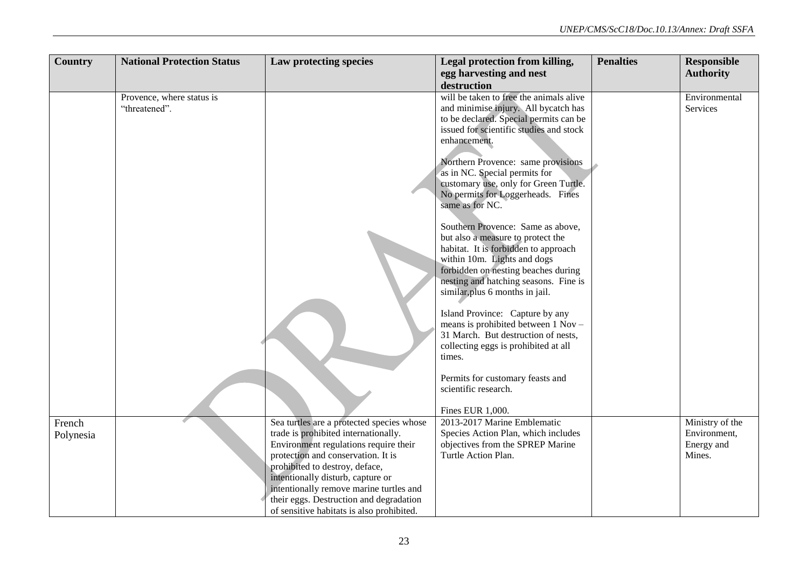| <b>Country</b> | <b>National Protection Status</b> | Law protecting species                    | Legal protection from killing,                                             | <b>Penalties</b> | <b>Responsible</b> |
|----------------|-----------------------------------|-------------------------------------------|----------------------------------------------------------------------------|------------------|--------------------|
|                |                                   |                                           | egg harvesting and nest                                                    |                  | <b>Authority</b>   |
|                |                                   |                                           | destruction                                                                |                  |                    |
|                | Provence, where status is         |                                           | will be taken to free the animals alive                                    |                  | Environmental      |
|                | "threatened".                     |                                           | and minimise injury. All bycatch has                                       |                  | Services           |
|                |                                   |                                           | to be declared. Special permits can be                                     |                  |                    |
|                |                                   |                                           | issued for scientific studies and stock                                    |                  |                    |
|                |                                   |                                           | enhancement.                                                               |                  |                    |
|                |                                   |                                           |                                                                            |                  |                    |
|                |                                   |                                           | Northern Provence: same provisions                                         |                  |                    |
|                |                                   |                                           | as in NC. Special permits for                                              |                  |                    |
|                |                                   |                                           | customary use, only for Green Turtle.                                      |                  |                    |
|                |                                   |                                           | No permits for Loggerheads. Fines<br>same as for NC.                       |                  |                    |
|                |                                   |                                           |                                                                            |                  |                    |
|                |                                   |                                           | Southern Provence: Same as above,                                          |                  |                    |
|                |                                   |                                           | but also a measure to protect the                                          |                  |                    |
|                |                                   |                                           | habitat. It is forbidden to approach                                       |                  |                    |
|                |                                   |                                           | within 10m. Lights and dogs                                                |                  |                    |
|                |                                   |                                           | forbidden on nesting beaches during                                        |                  |                    |
|                |                                   |                                           | nesting and hatching seasons. Fine is                                      |                  |                    |
|                |                                   |                                           | similar, plus 6 months in jail.                                            |                  |                    |
|                |                                   |                                           |                                                                            |                  |                    |
|                |                                   |                                           | Island Province: Capture by any                                            |                  |                    |
|                |                                   |                                           | means is prohibited between 1 Nov -<br>31 March. But destruction of nests, |                  |                    |
|                |                                   |                                           | collecting eggs is prohibited at all                                       |                  |                    |
|                |                                   |                                           | times.                                                                     |                  |                    |
|                |                                   |                                           |                                                                            |                  |                    |
|                |                                   |                                           | Permits for customary feasts and                                           |                  |                    |
|                |                                   |                                           | scientific research.                                                       |                  |                    |
|                |                                   |                                           |                                                                            |                  |                    |
|                |                                   |                                           | Fines EUR 1,000.                                                           |                  |                    |
| French         |                                   | Sea turtles are a protected species whose | 2013-2017 Marine Emblematic                                                |                  | Ministry of the    |
| Polynesia      |                                   | trade is prohibited internationally.      | Species Action Plan, which includes                                        |                  | Environment,       |
|                |                                   | Environment regulations require their     | objectives from the SPREP Marine                                           |                  | Energy and         |
|                |                                   | protection and conservation. It is        | Turtle Action Plan.                                                        |                  | Mines.             |
|                |                                   | prohibited to destroy, deface,            |                                                                            |                  |                    |
|                |                                   | intentionally disturb, capture or         |                                                                            |                  |                    |
|                |                                   | intentionally remove marine turtles and   |                                                                            |                  |                    |
|                |                                   | their eggs. Destruction and degradation   |                                                                            |                  |                    |
|                |                                   | of sensitive habitats is also prohibited. |                                                                            |                  |                    |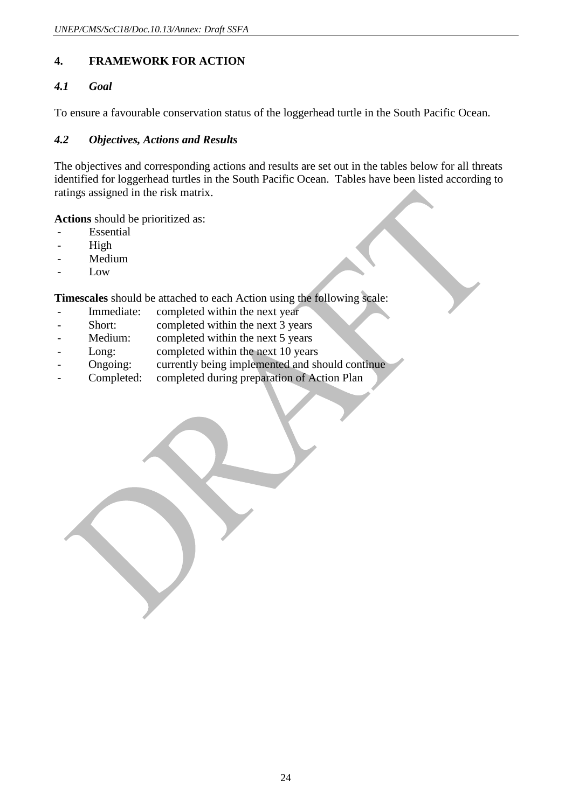## **4. FRAMEWORK FOR ACTION**

### *4.1 Goal*

To ensure a favourable conservation status of the loggerhead turtle in the South Pacific Ocean.

#### *4.2 Objectives, Actions and Results*

The objectives and corresponding actions and results are set out in the tables below for all threats identified for loggerhead turtles in the South Pacific Ocean. Tables have been listed according to ratings assigned in the risk matrix.

**Actions** should be prioritized as:

- **Essential**
- High
- Medium
- Low

**Timescales** should be attached to each Action using the following scale:

- Immediate: completed within the next year
- Short: completed within the next 3 years
- Medium: completed within the next 5 years
- Long: completed within the next 10 years
- Ongoing: currently being implemented and should continue
- Completed: completed during preparation of Action Plan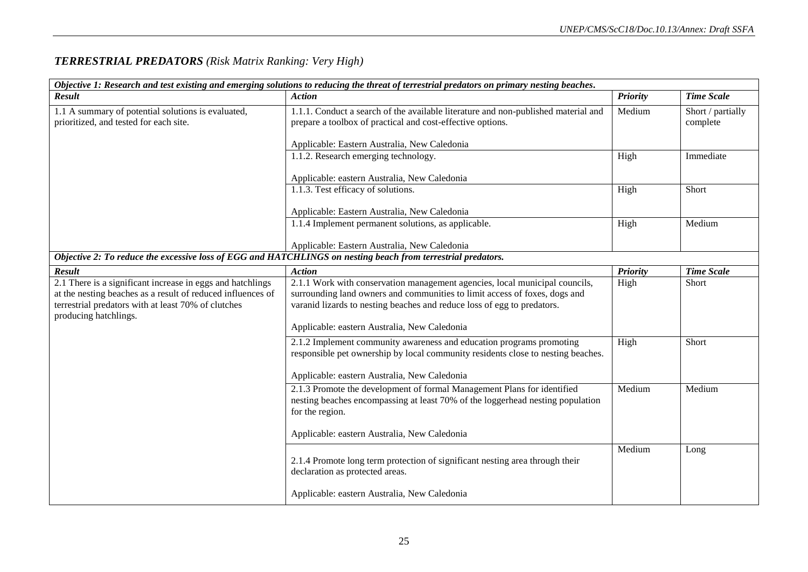| Objective 1: Research and test existing and emerging solutions to reducing the threat of terrestrial predators on primary nesting beaches.                                                                |                                                                                                                                                                                                                                                                                      |                 |                               |  |
|-----------------------------------------------------------------------------------------------------------------------------------------------------------------------------------------------------------|--------------------------------------------------------------------------------------------------------------------------------------------------------------------------------------------------------------------------------------------------------------------------------------|-----------------|-------------------------------|--|
| Result                                                                                                                                                                                                    | <b>Action</b>                                                                                                                                                                                                                                                                        | <b>Priority</b> | <b>Time Scale</b>             |  |
| 1.1 A summary of potential solutions is evaluated,<br>prioritized, and tested for each site.                                                                                                              | 1.1.1. Conduct a search of the available literature and non-published material and<br>prepare a toolbox of practical and cost-effective options.<br>Applicable: Eastern Australia, New Caledonia                                                                                     | Medium          | Short / partially<br>complete |  |
|                                                                                                                                                                                                           | 1.1.2. Research emerging technology.                                                                                                                                                                                                                                                 | High            | Immediate                     |  |
|                                                                                                                                                                                                           | Applicable: eastern Australia, New Caledonia                                                                                                                                                                                                                                         |                 |                               |  |
|                                                                                                                                                                                                           | 1.1.3. Test efficacy of solutions.                                                                                                                                                                                                                                                   | High            | Short                         |  |
|                                                                                                                                                                                                           | Applicable: Eastern Australia, New Caledonia                                                                                                                                                                                                                                         |                 |                               |  |
|                                                                                                                                                                                                           | 1.1.4 Implement permanent solutions, as applicable.                                                                                                                                                                                                                                  | High            | Medium                        |  |
|                                                                                                                                                                                                           | Applicable: Eastern Australia, New Caledonia                                                                                                                                                                                                                                         |                 |                               |  |
| Objective 2: To reduce the excessive loss of EGG and HATCHLINGS on nesting beach from terrestrial predators.                                                                                              |                                                                                                                                                                                                                                                                                      |                 |                               |  |
| Result                                                                                                                                                                                                    | <b>Action</b>                                                                                                                                                                                                                                                                        | Priority        | <b>Time Scale</b>             |  |
| 2.1 There is a significant increase in eggs and hatchlings<br>at the nesting beaches as a result of reduced influences of<br>terrestrial predators with at least 70% of clutches<br>producing hatchlings. | 2.1.1 Work with conservation management agencies, local municipal councils,<br>surrounding land owners and communities to limit access of foxes, dogs and<br>varanid lizards to nesting beaches and reduce loss of egg to predators.<br>Applicable: eastern Australia, New Caledonia | High            | Short                         |  |
|                                                                                                                                                                                                           | 2.1.2 Implement community awareness and education programs promoting<br>responsible pet ownership by local community residents close to nesting beaches.<br>Applicable: eastern Australia, New Caledonia                                                                             | High            | Short                         |  |
|                                                                                                                                                                                                           | 2.1.3 Promote the development of formal Management Plans for identified<br>nesting beaches encompassing at least 70% of the loggerhead nesting population<br>for the region.<br>Applicable: eastern Australia, New Caledonia                                                         | Medium          | Medium                        |  |
|                                                                                                                                                                                                           |                                                                                                                                                                                                                                                                                      |                 |                               |  |
|                                                                                                                                                                                                           | 2.1.4 Promote long term protection of significant nesting area through their<br>declaration as protected areas.                                                                                                                                                                      | Medium          | Long                          |  |
|                                                                                                                                                                                                           | Applicable: eastern Australia, New Caledonia                                                                                                                                                                                                                                         |                 |                               |  |

## *TERRESTRIAL PREDATORS (Risk Matrix Ranking: Very High)*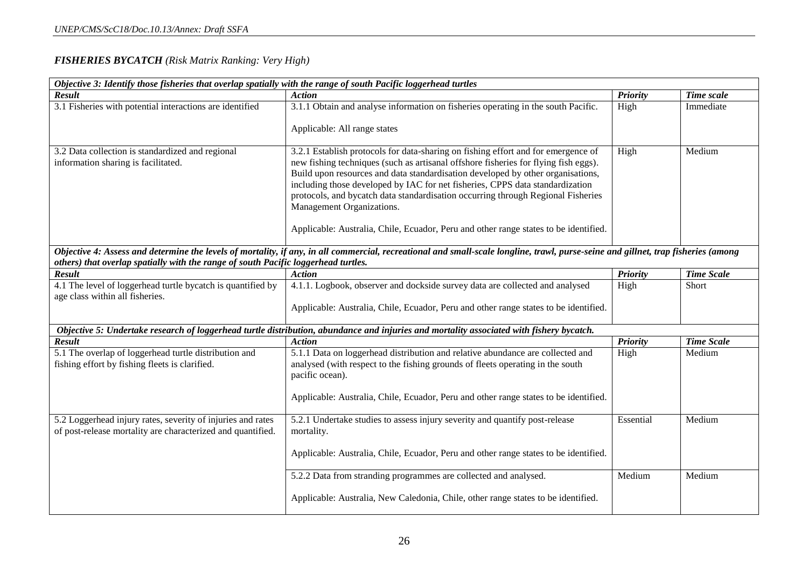#### *FISHERIES BYCATCH (Risk Matrix Ranking: Very High)*

| Objective 3: Identify those fisheries that overlap spatially with the range of south Pacific loggerhead turtles            |                                                                                                                                                                                                                                                                                                                                                                                                                                                               |                 |                   |  |
|----------------------------------------------------------------------------------------------------------------------------|---------------------------------------------------------------------------------------------------------------------------------------------------------------------------------------------------------------------------------------------------------------------------------------------------------------------------------------------------------------------------------------------------------------------------------------------------------------|-----------------|-------------------|--|
| Result                                                                                                                     | <b>Action</b>                                                                                                                                                                                                                                                                                                                                                                                                                                                 | <b>Priority</b> | Time scale        |  |
| 3.1 Fisheries with potential interactions are identified                                                                   | 3.1.1 Obtain and analyse information on fisheries operating in the south Pacific.                                                                                                                                                                                                                                                                                                                                                                             | High            | Immediate         |  |
|                                                                                                                            | Applicable: All range states                                                                                                                                                                                                                                                                                                                                                                                                                                  |                 |                   |  |
| 3.2 Data collection is standardized and regional<br>information sharing is facilitated.                                    | 3.2.1 Establish protocols for data-sharing on fishing effort and for emergence of<br>new fishing techniques (such as artisanal offshore fisheries for flying fish eggs).<br>Build upon resources and data standardisation developed by other organisations,<br>including those developed by IAC for net fisheries, CPPS data standardization<br>protocols, and bycatch data standardisation occurring through Regional Fisheries<br>Management Organizations. | High            | Medium            |  |
|                                                                                                                            | Applicable: Australia, Chile, Ecuador, Peru and other range states to be identified.                                                                                                                                                                                                                                                                                                                                                                          |                 |                   |  |
| others) that overlap spatially with the range of south Pacific loggerhead turtles.                                         | Objective 4: Assess and determine the levels of mortality, if any, in all commercial, recreational and small-scale longline, trawl, purse-seine and gillnet, trap fisheries (among                                                                                                                                                                                                                                                                            |                 |                   |  |
| Result                                                                                                                     | <b>Action</b>                                                                                                                                                                                                                                                                                                                                                                                                                                                 | <b>Priority</b> | <b>Time Scale</b> |  |
| 4.1 The level of loggerhead turtle bycatch is quantified by<br>age class within all fisheries.                             | 4.1.1. Logbook, observer and dockside survey data are collected and analysed<br>Applicable: Australia, Chile, Ecuador, Peru and other range states to be identified.                                                                                                                                                                                                                                                                                          | High            | Short             |  |
|                                                                                                                            | Objective 5: Undertake research of loggerhead turtle distribution, abundance and injuries and mortality associated with fishery bycatch.                                                                                                                                                                                                                                                                                                                      |                 |                   |  |
| <b>Result</b>                                                                                                              | <b>Action</b>                                                                                                                                                                                                                                                                                                                                                                                                                                                 | Priority        | <b>Time Scale</b> |  |
| 5.1 The overlap of loggerhead turtle distribution and<br>fishing effort by fishing fleets is clarified.                    | 5.1.1 Data on loggerhead distribution and relative abundance are collected and<br>analysed (with respect to the fishing grounds of fleets operating in the south<br>pacific ocean).<br>Applicable: Australia, Chile, Ecuador, Peru and other range states to be identified.                                                                                                                                                                                   | High            | Medium            |  |
| 5.2 Loggerhead injury rates, severity of injuries and rates<br>of post-release mortality are characterized and quantified. | 5.2.1 Undertake studies to assess injury severity and quantify post-release<br>mortality.                                                                                                                                                                                                                                                                                                                                                                     | Essential       | Medium            |  |
|                                                                                                                            | Applicable: Australia, Chile, Ecuador, Peru and other range states to be identified.                                                                                                                                                                                                                                                                                                                                                                          |                 |                   |  |
|                                                                                                                            | 5.2.2 Data from stranding programmes are collected and analysed.                                                                                                                                                                                                                                                                                                                                                                                              | Medium          | Medium            |  |
|                                                                                                                            | Applicable: Australia, New Caledonia, Chile, other range states to be identified.                                                                                                                                                                                                                                                                                                                                                                             |                 |                   |  |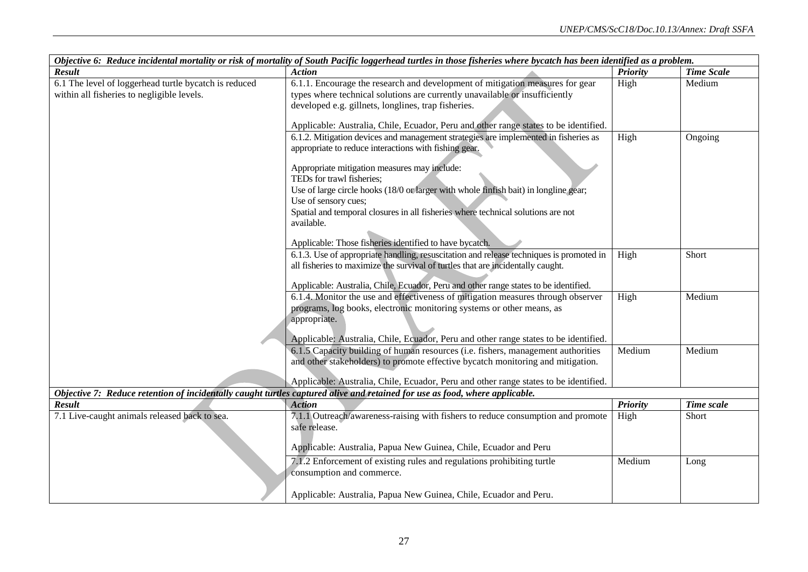| Objective 6: Reduce incidental mortality or risk of mortality of South Pacific loggerhead turtles in those fisheries where bycatch has been identified as a problem. |                                                                                                                             |                 |                   |  |  |
|----------------------------------------------------------------------------------------------------------------------------------------------------------------------|-----------------------------------------------------------------------------------------------------------------------------|-----------------|-------------------|--|--|
| <b>Result</b>                                                                                                                                                        | <b>Action</b>                                                                                                               | <b>Priority</b> | <b>Time Scale</b> |  |  |
| 6.1 The level of loggerhead turtle bycatch is reduced                                                                                                                | 6.1.1. Encourage the research and development of mitigation measures for gear                                               | High            | Medium            |  |  |
| within all fisheries to negligible levels.                                                                                                                           | types where technical solutions are currently unavailable or insufficiently                                                 |                 |                   |  |  |
|                                                                                                                                                                      | developed e.g. gillnets, longlines, trap fisheries.                                                                         |                 |                   |  |  |
|                                                                                                                                                                      |                                                                                                                             |                 |                   |  |  |
|                                                                                                                                                                      | Applicable: Australia, Chile, Ecuador, Peru and other range states to be identified.                                        |                 |                   |  |  |
|                                                                                                                                                                      | 6.1.2. Mitigation devices and management strategies are implemented in fisheries as                                         | High            | Ongoing           |  |  |
|                                                                                                                                                                      | appropriate to reduce interactions with fishing gear.                                                                       |                 |                   |  |  |
|                                                                                                                                                                      |                                                                                                                             |                 |                   |  |  |
|                                                                                                                                                                      | Appropriate mitigation measures may include:                                                                                |                 |                   |  |  |
|                                                                                                                                                                      | TEDs for trawl fisheries;                                                                                                   |                 |                   |  |  |
|                                                                                                                                                                      | Use of large circle hooks (18/0 or larger with whole finfish bait) in longline gear;                                        |                 |                   |  |  |
|                                                                                                                                                                      | Use of sensory cues;                                                                                                        |                 |                   |  |  |
|                                                                                                                                                                      | Spatial and temporal closures in all fisheries where technical solutions are not                                            |                 |                   |  |  |
|                                                                                                                                                                      | available.                                                                                                                  |                 |                   |  |  |
|                                                                                                                                                                      |                                                                                                                             |                 |                   |  |  |
|                                                                                                                                                                      | Applicable: Those fisheries identified to have bycatch.                                                                     |                 |                   |  |  |
|                                                                                                                                                                      | 6.1.3. Use of appropriate handling, resuscitation and release techniques is promoted in                                     | High            | Short             |  |  |
|                                                                                                                                                                      | all fisheries to maximize the survival of turtles that are incidentally caught.                                             |                 |                   |  |  |
|                                                                                                                                                                      |                                                                                                                             |                 |                   |  |  |
|                                                                                                                                                                      | Applicable: Australia, Chile, Ecuador, Peru and other range states to be identified.                                        |                 |                   |  |  |
|                                                                                                                                                                      | 6.1.4. Monitor the use and effectiveness of mitigation measures through observer                                            | High            | Medium            |  |  |
|                                                                                                                                                                      | programs, log books, electronic monitoring systems or other means, as                                                       |                 |                   |  |  |
|                                                                                                                                                                      | appropriate.                                                                                                                |                 |                   |  |  |
|                                                                                                                                                                      |                                                                                                                             |                 |                   |  |  |
|                                                                                                                                                                      | Applicable: Australia, Chile, Ecuador, Peru and other range states to be identified.                                        |                 |                   |  |  |
|                                                                                                                                                                      | 6.1.5 Capacity building of human resources (i.e. fishers, management authorities                                            | Medium          | Medium            |  |  |
|                                                                                                                                                                      | and other stakeholders) to promote effective bycatch monitoring and mitigation.                                             |                 |                   |  |  |
|                                                                                                                                                                      | Applicable: Australia, Chile, Ecuador, Peru and other range states to be identified.                                        |                 |                   |  |  |
|                                                                                                                                                                      | Objective 7: Reduce retention of incidentally caught turtles captured alive and retained for use as food, where applicable. |                 |                   |  |  |
| <b>Result</b>                                                                                                                                                        | <b>Action</b>                                                                                                               |                 |                   |  |  |
|                                                                                                                                                                      |                                                                                                                             | <b>Priority</b> | Time scale        |  |  |
| 7.1 Live-caught animals released back to sea.                                                                                                                        | 7.1.1 Outreach/awareness-raising with fishers to reduce consumption and promote                                             | High            | Short             |  |  |
|                                                                                                                                                                      | safe release.                                                                                                               |                 |                   |  |  |
|                                                                                                                                                                      | Applicable: Australia, Papua New Guinea, Chile, Ecuador and Peru                                                            |                 |                   |  |  |
|                                                                                                                                                                      |                                                                                                                             |                 |                   |  |  |
|                                                                                                                                                                      | 7.1.2 Enforcement of existing rules and regulations prohibiting turtle                                                      | Medium          | Long              |  |  |
|                                                                                                                                                                      | consumption and commerce.                                                                                                   |                 |                   |  |  |
|                                                                                                                                                                      |                                                                                                                             |                 |                   |  |  |
|                                                                                                                                                                      | Applicable: Australia, Papua New Guinea, Chile, Ecuador and Peru.                                                           |                 |                   |  |  |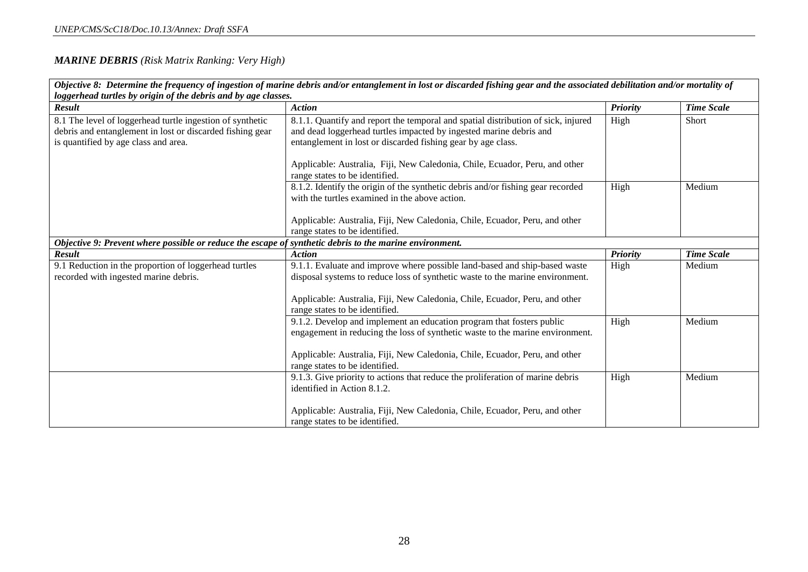#### *MARINE DEBRIS (Risk Matrix Ranking: Very High)*

|                                                                                                         | Objective 8: Determine the frequency of ingestion of marine debris and/or entanglement in lost or discarded fishing gear and the associated debilitation and/or mortality of |                 |                   |  |  |  |
|---------------------------------------------------------------------------------------------------------|------------------------------------------------------------------------------------------------------------------------------------------------------------------------------|-----------------|-------------------|--|--|--|
| loggerhead turtles by origin of the debris and by age classes.                                          |                                                                                                                                                                              |                 |                   |  |  |  |
| <b>Result</b>                                                                                           | <b>Action</b>                                                                                                                                                                | <b>Priority</b> | <b>Time Scale</b> |  |  |  |
| 8.1 The level of loggerhead turtle ingestion of synthetic                                               | 8.1.1. Quantify and report the temporal and spatial distribution of sick, injured                                                                                            | High            | Short             |  |  |  |
| debris and entanglement in lost or discarded fishing gear                                               | and dead loggerhead turtles impacted by ingested marine debris and                                                                                                           |                 |                   |  |  |  |
| is quantified by age class and area.                                                                    | entanglement in lost or discarded fishing gear by age class.                                                                                                                 |                 |                   |  |  |  |
|                                                                                                         |                                                                                                                                                                              |                 |                   |  |  |  |
|                                                                                                         | Applicable: Australia, Fiji, New Caledonia, Chile, Ecuador, Peru, and other                                                                                                  |                 |                   |  |  |  |
|                                                                                                         | range states to be identified.                                                                                                                                               |                 |                   |  |  |  |
|                                                                                                         | 8.1.2. Identify the origin of the synthetic debris and/or fishing gear recorded                                                                                              | High            | Medium            |  |  |  |
|                                                                                                         | with the turtles examined in the above action.                                                                                                                               |                 |                   |  |  |  |
|                                                                                                         |                                                                                                                                                                              |                 |                   |  |  |  |
|                                                                                                         | Applicable: Australia, Fiji, New Caledonia, Chile, Ecuador, Peru, and other                                                                                                  |                 |                   |  |  |  |
|                                                                                                         | range states to be identified.                                                                                                                                               |                 |                   |  |  |  |
| Objective 9: Prevent where possible or reduce the escape of synthetic debris to the marine environment. |                                                                                                                                                                              |                 |                   |  |  |  |
| <b>Result</b>                                                                                           | <b>Action</b>                                                                                                                                                                | <b>Priority</b> | <b>Time Scale</b> |  |  |  |
| 9.1 Reduction in the proportion of loggerhead turtles                                                   | 9.1.1. Evaluate and improve where possible land-based and ship-based waste                                                                                                   | High            | Medium            |  |  |  |
| recorded with ingested marine debris.                                                                   | disposal systems to reduce loss of synthetic waste to the marine environment.                                                                                                |                 |                   |  |  |  |
|                                                                                                         |                                                                                                                                                                              |                 |                   |  |  |  |
|                                                                                                         | Applicable: Australia, Fiji, New Caledonia, Chile, Ecuador, Peru, and other                                                                                                  |                 |                   |  |  |  |
|                                                                                                         | range states to be identified.                                                                                                                                               |                 |                   |  |  |  |
|                                                                                                         | 9.1.2. Develop and implement an education program that fosters public                                                                                                        | High            | Medium            |  |  |  |
|                                                                                                         | engagement in reducing the loss of synthetic waste to the marine environment.                                                                                                |                 |                   |  |  |  |
|                                                                                                         |                                                                                                                                                                              |                 |                   |  |  |  |
|                                                                                                         | Applicable: Australia, Fiji, New Caledonia, Chile, Ecuador, Peru, and other                                                                                                  |                 |                   |  |  |  |
|                                                                                                         | range states to be identified.                                                                                                                                               |                 |                   |  |  |  |
|                                                                                                         | 9.1.3. Give priority to actions that reduce the proliferation of marine debris                                                                                               | High            | Medium            |  |  |  |
|                                                                                                         | identified in Action 8.1.2.                                                                                                                                                  |                 |                   |  |  |  |
|                                                                                                         |                                                                                                                                                                              |                 |                   |  |  |  |
|                                                                                                         | Applicable: Australia, Fiji, New Caledonia, Chile, Ecuador, Peru, and other                                                                                                  |                 |                   |  |  |  |
|                                                                                                         | range states to be identified.                                                                                                                                               |                 |                   |  |  |  |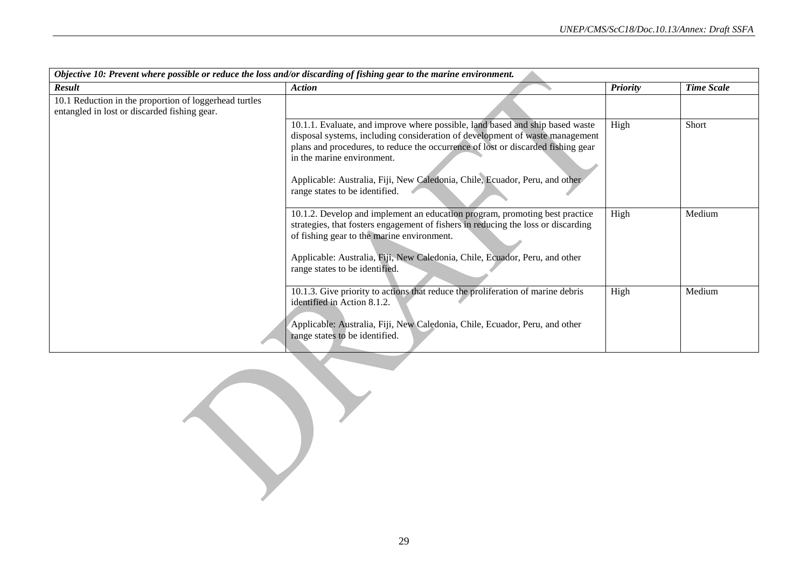| Objective 10: Prevent where possible or reduce the loss and/or discarding of fishing gear to the marine environment. |                                                                                                                                                                                                                                                                                                                                                                                                  |                 |                   |  |
|----------------------------------------------------------------------------------------------------------------------|--------------------------------------------------------------------------------------------------------------------------------------------------------------------------------------------------------------------------------------------------------------------------------------------------------------------------------------------------------------------------------------------------|-----------------|-------------------|--|
| Result                                                                                                               | <b>Action</b>                                                                                                                                                                                                                                                                                                                                                                                    | <b>Priority</b> | <b>Time Scale</b> |  |
| 10.1 Reduction in the proportion of loggerhead turtles<br>entangled in lost or discarded fishing gear.               |                                                                                                                                                                                                                                                                                                                                                                                                  |                 |                   |  |
|                                                                                                                      | 10.1.1. Evaluate, and improve where possible, land based and ship based waste<br>disposal systems, including consideration of development of waste management<br>plans and procedures, to reduce the occurrence of lost or discarded fishing gear<br>in the marine environment.<br>Applicable: Australia, Fiji, New Caledonia, Chile, Ecuador, Peru, and other<br>range states to be identified. | High            | Short             |  |
|                                                                                                                      | 10.1.2. Develop and implement an education program, promoting best practice<br>strategies, that fosters engagement of fishers in reducing the loss or discarding<br>of fishing gear to the marine environment.<br>Applicable: Australia, Fiji, New Caledonia, Chile, Ecuador, Peru, and other<br>range states to be identified.                                                                  | High            | Medium            |  |
|                                                                                                                      | 10.1.3. Give priority to actions that reduce the proliferation of marine debris<br>identified in Action 8.1.2.<br>Applicable: Australia, Fiji, New Caledonia, Chile, Ecuador, Peru, and other<br>range states to be identified.                                                                                                                                                                  | High            | Medium            |  |

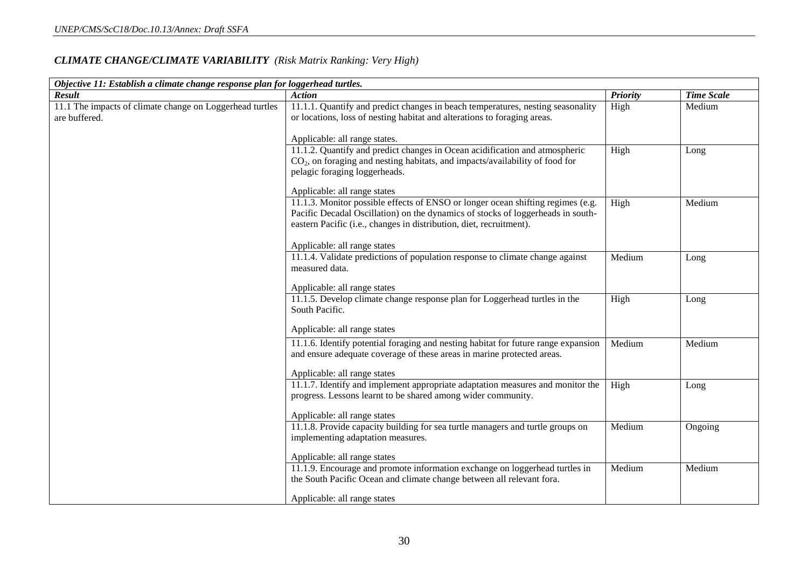#### *CLIMATE CHANGE/CLIMATE VARIABILITY (Risk Matrix Ranking: Very High)*

| Objective 11: Establish a climate change response plan for loggerhead turtles. |                                                                                                                                                                                                                                                                                                           |                 |                   |  |
|--------------------------------------------------------------------------------|-----------------------------------------------------------------------------------------------------------------------------------------------------------------------------------------------------------------------------------------------------------------------------------------------------------|-----------------|-------------------|--|
| Result                                                                         | <b>Action</b>                                                                                                                                                                                                                                                                                             | <b>Priority</b> | <b>Time Scale</b> |  |
| 11.1 The impacts of climate change on Loggerhead turtles<br>are buffered.      | 11.1.1. Quantify and predict changes in beach temperatures, nesting seasonality<br>or locations, loss of nesting habitat and alterations to foraging areas.<br>Applicable: all range states.                                                                                                              | High            | Medium            |  |
|                                                                                | 11.1.2. Quantify and predict changes in Ocean acidification and atmospheric<br>CO <sub>2</sub> , on foraging and nesting habitats, and impacts/availability of food for<br>pelagic foraging loggerheads.                                                                                                  | High            | Long              |  |
|                                                                                | Applicable: all range states<br>11.1.3. Monitor possible effects of ENSO or longer ocean shifting regimes (e.g.<br>Pacific Decadal Oscillation) on the dynamics of stocks of loggerheads in south-<br>eastern Pacific (i.e., changes in distribution, diet, recruitment).<br>Applicable: all range states | High            | Medium            |  |
|                                                                                | 11.1.4. Validate predictions of population response to climate change against<br>measured data.<br>Applicable: all range states                                                                                                                                                                           | Medium          | Long              |  |
|                                                                                | 11.1.5. Develop climate change response plan for Loggerhead turtles in the<br>South Pacific.<br>Applicable: all range states                                                                                                                                                                              | High            | Long              |  |
|                                                                                | 11.1.6. Identify potential foraging and nesting habitat for future range expansion<br>and ensure adequate coverage of these areas in marine protected areas.<br>Applicable: all range states                                                                                                              | Medium          | Medium            |  |
|                                                                                | 11.1.7. Identify and implement appropriate adaptation measures and monitor the<br>progress. Lessons learnt to be shared among wider community.<br>Applicable: all range states                                                                                                                            | High            | Long              |  |
|                                                                                | 11.1.8. Provide capacity building for sea turtle managers and turtle groups on<br>implementing adaptation measures.<br>Applicable: all range states                                                                                                                                                       | Medium          | Ongoing           |  |
|                                                                                | 11.1.9. Encourage and promote information exchange on loggerhead turtles in<br>the South Pacific Ocean and climate change between all relevant fora.<br>Applicable: all range states                                                                                                                      | Medium          | Medium            |  |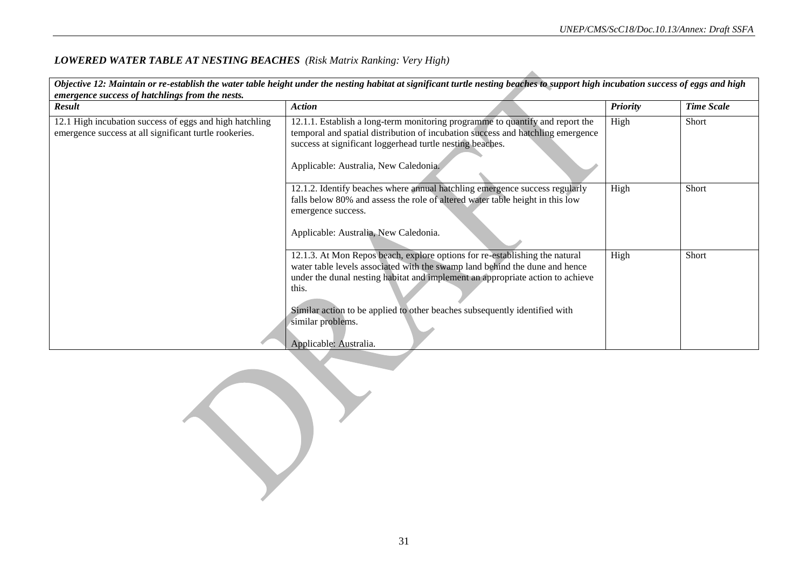#### *LOWERED WATER TABLE AT NESTING BEACHES (Risk Matrix Ranking: Very High)*

| Objective 12: Maintain or re-establish the water table height under the nesting habitat at significant turtle nesting beaches to support high incubation success of eggs and high<br>emergence success of hatchlings from the nests. |                                                                                                                                                                                                                                                                                                                                                                                    |                 |                   |  |  |
|--------------------------------------------------------------------------------------------------------------------------------------------------------------------------------------------------------------------------------------|------------------------------------------------------------------------------------------------------------------------------------------------------------------------------------------------------------------------------------------------------------------------------------------------------------------------------------------------------------------------------------|-----------------|-------------------|--|--|
| Result                                                                                                                                                                                                                               | <b>Action</b>                                                                                                                                                                                                                                                                                                                                                                      | <b>Priority</b> | <b>Time Scale</b> |  |  |
| 12.1 High incubation success of eggs and high hatchling<br>emergence success at all significant turtle rookeries.                                                                                                                    | 12.1.1. Establish a long-term monitoring programme to quantify and report the<br>temporal and spatial distribution of incubation success and hatchling emergence<br>success at significant loggerhead turtle nesting beaches.<br>Applicable: Australia, New Caledonia.                                                                                                             | High            | Short             |  |  |
|                                                                                                                                                                                                                                      | 12.1.2. Identify beaches where annual hatchling emergence success regularly<br>falls below 80% and assess the role of altered water table height in this low<br>emergence success.<br>Applicable: Australia, New Caledonia.                                                                                                                                                        | High            | Short             |  |  |
|                                                                                                                                                                                                                                      | 12.1.3. At Mon Repos beach, explore options for re-establishing the natural<br>water table levels associated with the swamp land behind the dune and hence<br>under the dunal nesting habitat and implement an appropriate action to achieve<br>this.<br>Similar action to be applied to other beaches subsequently identified with<br>similar problems.<br>Applicable: Australia. | High            | Short             |  |  |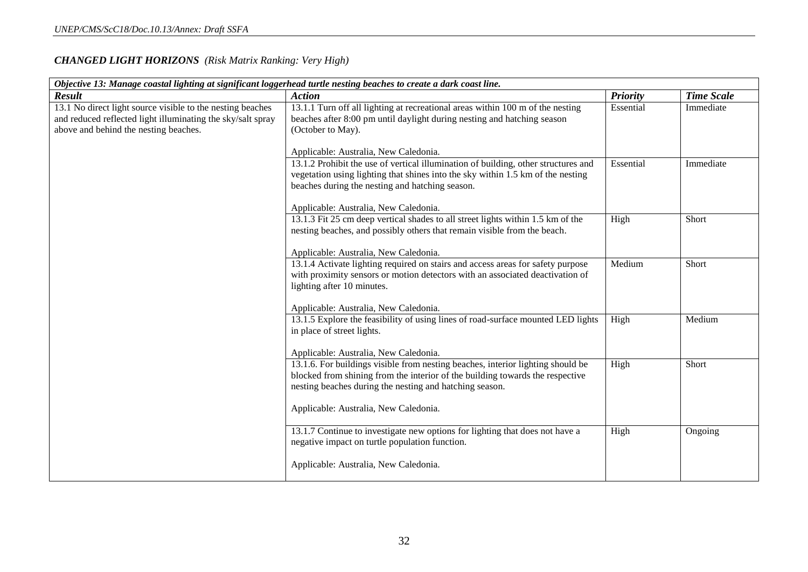| Objective 13: Manage coastal lighting at significant loggerhead turtle nesting beaches to create a dark coast line.                                                |                                                                                                                                                                                                                                                                      |                 |                   |  |
|--------------------------------------------------------------------------------------------------------------------------------------------------------------------|----------------------------------------------------------------------------------------------------------------------------------------------------------------------------------------------------------------------------------------------------------------------|-----------------|-------------------|--|
| <b>Result</b>                                                                                                                                                      | <b>Action</b>                                                                                                                                                                                                                                                        | <b>Priority</b> | <b>Time Scale</b> |  |
| 13.1 No direct light source visible to the nesting beaches<br>and reduced reflected light illuminating the sky/salt spray<br>above and behind the nesting beaches. | 13.1.1 Turn off all lighting at recreational areas within 100 m of the nesting<br>beaches after 8:00 pm until daylight during nesting and hatching season<br>(October to May).                                                                                       | Essential       | Immediate         |  |
|                                                                                                                                                                    | Applicable: Australia, New Caledonia.                                                                                                                                                                                                                                |                 |                   |  |
|                                                                                                                                                                    | 13.1.2 Prohibit the use of vertical illumination of building, other structures and<br>vegetation using lighting that shines into the sky within 1.5 km of the nesting<br>beaches during the nesting and hatching season.                                             | Essential       | Immediate         |  |
|                                                                                                                                                                    | Applicable: Australia, New Caledonia.                                                                                                                                                                                                                                |                 |                   |  |
|                                                                                                                                                                    | 13.1.3 Fit 25 cm deep vertical shades to all street lights within 1.5 km of the<br>nesting beaches, and possibly others that remain visible from the beach.<br>Applicable: Australia, New Caledonia.                                                                 | High            | Short             |  |
|                                                                                                                                                                    | 13.1.4 Activate lighting required on stairs and access areas for safety purpose<br>with proximity sensors or motion detectors with an associated deactivation of<br>lighting after 10 minutes.<br>Applicable: Australia, New Caledonia.                              | Medium          | Short             |  |
|                                                                                                                                                                    | 13.1.5 Explore the feasibility of using lines of road-surface mounted LED lights<br>in place of street lights.<br>Applicable: Australia, New Caledonia.                                                                                                              | High            | Medium            |  |
|                                                                                                                                                                    | 13.1.6. For buildings visible from nesting beaches, interior lighting should be<br>blocked from shining from the interior of the building towards the respective<br>nesting beaches during the nesting and hatching season.<br>Applicable: Australia, New Caledonia. | High            | Short             |  |
|                                                                                                                                                                    | 13.1.7 Continue to investigate new options for lighting that does not have a<br>negative impact on turtle population function.<br>Applicable: Australia, New Caledonia.                                                                                              | High            | Ongoing           |  |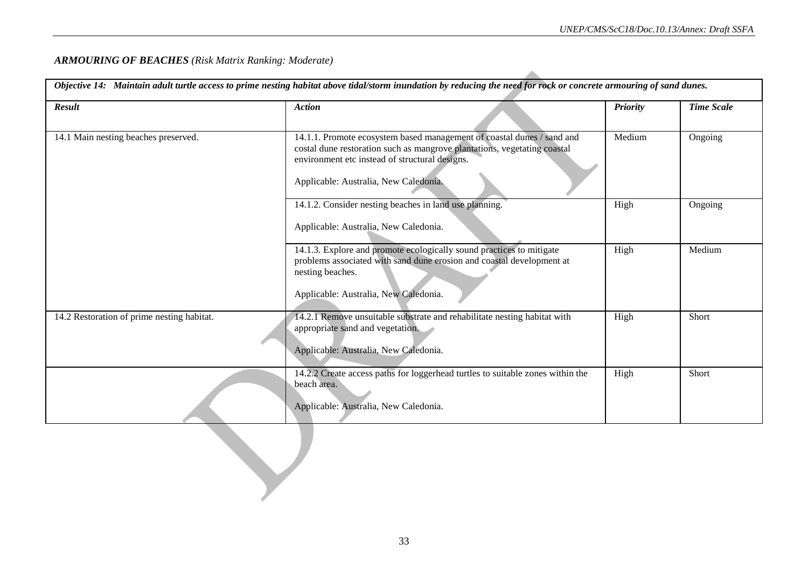#### *ARMOURING OF BEACHES (Risk Matrix Ranking: Moderate)*

| Result                                     | <b>Action</b>                                                                                                                                                                                                                                 | <b>Priority</b> | <b>Time Scale</b> |
|--------------------------------------------|-----------------------------------------------------------------------------------------------------------------------------------------------------------------------------------------------------------------------------------------------|-----------------|-------------------|
| 14.1 Main nesting beaches preserved.       | 14.1.1. Promote ecosystem based management of coastal dunes / sand and<br>costal dune restoration such as mangrove plantations, vegetating coastal<br>environment etc instead of structural designs.<br>Applicable: Australia, New Caledonia. | Medium          | Ongoing           |
|                                            | 14.1.2. Consider nesting beaches in land use planning.<br>Applicable: Australia, New Caledonia.                                                                                                                                               | High            | Ongoing           |
|                                            | 14.1.3. Explore and promote ecologically sound practices to mitigate<br>problems associated with sand dune erosion and coastal development at<br>nesting beaches.<br>Applicable: Australia, New Caledonia.                                    | High            | Medium            |
| 14.2 Restoration of prime nesting habitat. | 14.2.1 Remove unsuitable substrate and rehabilitate nesting habitat with<br>appropriate sand and vegetation.<br>Applicable: Australia, New Caledonia.                                                                                         | High            | Short             |
|                                            | 14.2.2 Create access paths for loggerhead turtles to suitable zones within the<br>beach area.<br>Applicable: Australia, New Caledonia.                                                                                                        | High            | Short             |
|                                            |                                                                                                                                                                                                                                               |                 |                   |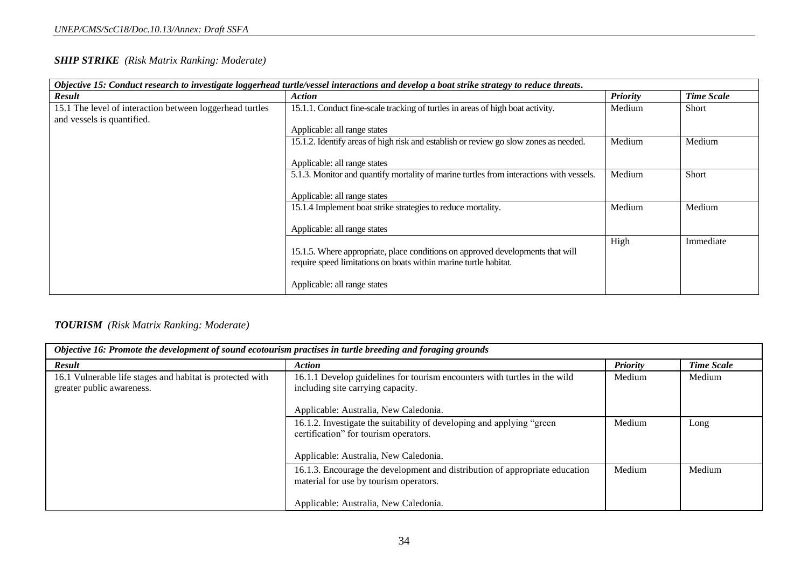#### *SHIP STRIKE (Risk Matrix Ranking: Moderate)*

| Objective 15: Conduct research to investigate loggerhead turtle/vessel interactions and develop a boat strike strategy to reduce threats. |                                                                                         |                 |                   |
|-------------------------------------------------------------------------------------------------------------------------------------------|-----------------------------------------------------------------------------------------|-----------------|-------------------|
| <b>Result</b>                                                                                                                             | <b>Action</b>                                                                           | <b>Priority</b> | <b>Time Scale</b> |
| 15.1 The level of interaction between loggerhead turtles                                                                                  | 15.1.1. Conduct fine-scale tracking of turtles in areas of high boat activity.          | Medium          | Short             |
| and vessels is quantified.                                                                                                                |                                                                                         |                 |                   |
|                                                                                                                                           | Applicable: all range states                                                            |                 |                   |
|                                                                                                                                           | 15.1.2. Identify areas of high risk and establish or review go slow zones as needed.    | Medium          | Medium            |
|                                                                                                                                           |                                                                                         |                 |                   |
|                                                                                                                                           | Applicable: all range states                                                            |                 |                   |
|                                                                                                                                           | 5.1.3. Monitor and quantify mortality of marine turtles from interactions with vessels. | Medium          | Short             |
|                                                                                                                                           |                                                                                         |                 |                   |
|                                                                                                                                           | Applicable: all range states                                                            |                 |                   |
|                                                                                                                                           | 15.1.4 Implement boat strike strategies to reduce mortality.                            | Medium          | Medium            |
|                                                                                                                                           |                                                                                         |                 |                   |
|                                                                                                                                           | Applicable: all range states                                                            |                 |                   |
|                                                                                                                                           |                                                                                         | High            | Immediate         |
|                                                                                                                                           | 15.1.5. Where appropriate, place conditions on approved developments that will          |                 |                   |
|                                                                                                                                           | require speed limitations on boats within marine turtle habitat.                        |                 |                   |
|                                                                                                                                           |                                                                                         |                 |                   |
|                                                                                                                                           | Applicable: all range states                                                            |                 |                   |

#### *TOURISM (Risk Matrix Ranking: Moderate)*

| Objective 16: Promote the development of sound ecotourism practises in turtle breeding and foraging grounds |                                                                                                                       |                 |                   |
|-------------------------------------------------------------------------------------------------------------|-----------------------------------------------------------------------------------------------------------------------|-----------------|-------------------|
| <b>Result</b>                                                                                               | <b>Action</b>                                                                                                         | <b>Priority</b> | <b>Time Scale</b> |
| 16.1 Vulnerable life stages and habitat is protected with<br>greater public awareness.                      | 16.1.1 Develop guidelines for tourism encounters with turtles in the wild<br>including site carrying capacity.        | Medium          | Medium            |
|                                                                                                             | Applicable: Australia, New Caledonia.                                                                                 |                 |                   |
|                                                                                                             | 16.1.2. Investigate the suitability of developing and applying "green<br>certification" for tourism operators.        | Medium          | Long              |
|                                                                                                             | Applicable: Australia, New Caledonia.                                                                                 |                 |                   |
|                                                                                                             | 16.1.3. Encourage the development and distribution of appropriate education<br>material for use by tourism operators. | Medium          | Medium            |
|                                                                                                             | Applicable: Australia, New Caledonia.                                                                                 |                 |                   |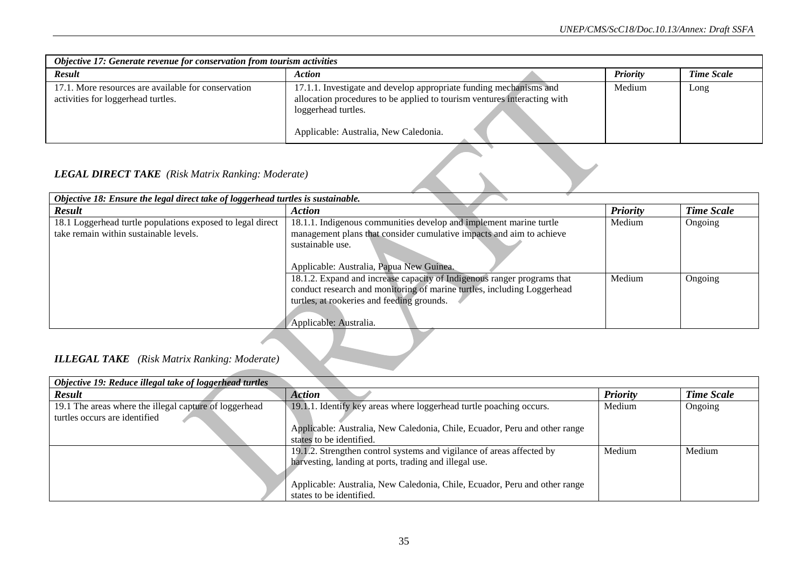| Objective 17: Generate revenue for conservation from tourism activities                   |                                                                                                                                                                                                                |  |                 |                   |
|-------------------------------------------------------------------------------------------|----------------------------------------------------------------------------------------------------------------------------------------------------------------------------------------------------------------|--|-----------------|-------------------|
| <b>Result</b>                                                                             | <b>Action</b>                                                                                                                                                                                                  |  | <b>Priority</b> | <b>Time Scale</b> |
| 17.1. More resources are available for conservation<br>activities for loggerhead turtles. | 17.1.1. Investigate and develop appropriate funding mechanisms and<br>allocation procedures to be applied to tourism ventures interacting with<br>loggerhead turtles.<br>Applicable: Australia, New Caledonia. |  | Medium          | Long              |

#### *LEGAL DIRECT TAKE (Risk Matrix Ranking: Moderate)*

| Objective 18: Ensure the legal direct take of loggerhead turtles is sustainable.                     |                                                                                                                                                                                                                            |          |                   |
|------------------------------------------------------------------------------------------------------|----------------------------------------------------------------------------------------------------------------------------------------------------------------------------------------------------------------------------|----------|-------------------|
| <b>Result</b>                                                                                        | <b>Action</b>                                                                                                                                                                                                              | Priority | <b>Time Scale</b> |
| 18.1 Loggerhead turtle populations exposed to legal direct<br>take remain within sustainable levels. | 18.1.1. Indigenous communities develop and implement marine turtle<br>management plans that consider cumulative impacts and aim to achieve<br>sustainable use.<br>Applicable: Australia, Papua New Guinea.                 | Medium   | Ongoing           |
|                                                                                                      | 18.1.2. Expand and increase capacity of Indigenous ranger programs that<br>conduct research and monitoring of marine turtles, including Loggerhead<br>turtles, at rookeries and feeding grounds.<br>Applicable: Australia. | Medium   | Ongoing           |

## *ILLEGAL TAKE (Risk Matrix Ranking: Moderate)*

| Objective 19: Reduce illegal take of loggerhead turtles |                                                                            |                 |                   |  |
|---------------------------------------------------------|----------------------------------------------------------------------------|-----------------|-------------------|--|
| <b>Result</b>                                           | <b>Action</b>                                                              | <b>Priority</b> | <b>Time Scale</b> |  |
| 19.1 The areas where the illegal capture of loggerhead  | 19.1.1. Identify key areas where loggerhead turtle poaching occurs.        | Medium          | Ongoing           |  |
| turtles occurs are identified                           |                                                                            |                 |                   |  |
|                                                         | Applicable: Australia, New Caledonia, Chile, Ecuador, Peru and other range |                 |                   |  |
|                                                         | states to be identified.                                                   |                 |                   |  |
|                                                         | 19.1.2. Strengthen control systems and vigilance of areas affected by      | Medium          | Medium            |  |
|                                                         | harvesting, landing at ports, trading and illegal use.                     |                 |                   |  |
|                                                         |                                                                            |                 |                   |  |
|                                                         | Applicable: Australia, New Caledonia, Chile, Ecuador, Peru and other range |                 |                   |  |
|                                                         | states to be identified.                                                   |                 |                   |  |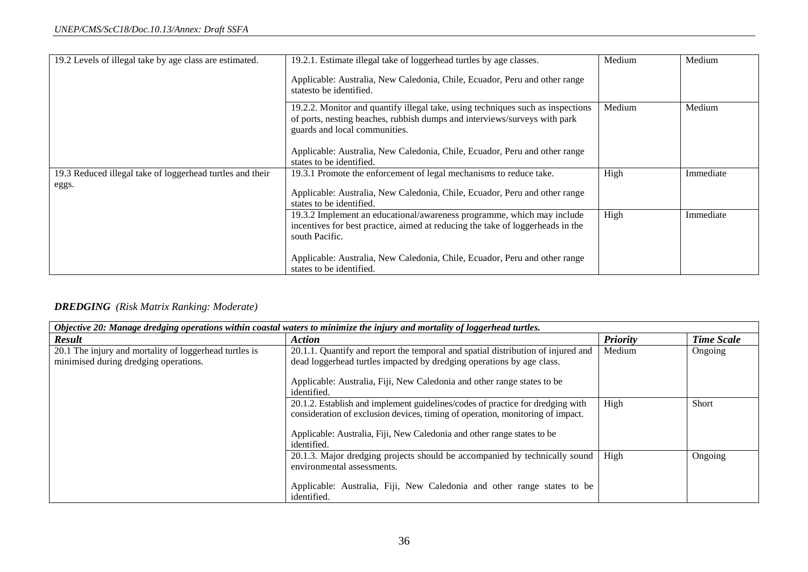| 19.2 Levels of illegal take by age class are estimated.   | 19.2.1. Estimate illegal take of loggerhead turtles by age classes.                                                                                                                           | Medium | Medium    |
|-----------------------------------------------------------|-----------------------------------------------------------------------------------------------------------------------------------------------------------------------------------------------|--------|-----------|
|                                                           | Applicable: Australia, New Caledonia, Chile, Ecuador, Peru and other range<br>statesto be identified.                                                                                         |        |           |
|                                                           | 19.2.2. Monitor and quantify illegal take, using techniques such as inspections<br>of ports, nesting beaches, rubbish dumps and interviews/surveys with park<br>guards and local communities. | Medium | Medium    |
|                                                           | Applicable: Australia, New Caledonia, Chile, Ecuador, Peru and other range<br>states to be identified.                                                                                        |        |           |
| 19.3 Reduced illegal take of loggerhead turtles and their | 19.3.1 Promote the enforcement of legal mechanisms to reduce take.                                                                                                                            | High   | Immediate |
| eggs.                                                     | Applicable: Australia, New Caledonia, Chile, Ecuador, Peru and other range                                                                                                                    |        |           |
|                                                           | states to be identified.                                                                                                                                                                      |        |           |
|                                                           | 19.3.2 Implement an educational/awareness programme, which may include                                                                                                                        | High   | Immediate |
|                                                           | incentives for best practice, aimed at reducing the take of loggerheads in the                                                                                                                |        |           |
|                                                           | south Pacific.                                                                                                                                                                                |        |           |
|                                                           | Applicable: Australia, New Caledonia, Chile, Ecuador, Peru and other range<br>states to be identified.                                                                                        |        |           |

#### *DREDGING (Risk Matrix Ranking: Moderate)*

| Objective 20: Manage dredging operations within coastal waters to minimize the injury and mortality of loggerhead turtles. |                                                                                                                                                                                                                                                            |                 |                   |
|----------------------------------------------------------------------------------------------------------------------------|------------------------------------------------------------------------------------------------------------------------------------------------------------------------------------------------------------------------------------------------------------|-----------------|-------------------|
| <b>Result</b>                                                                                                              | <b>Action</b>                                                                                                                                                                                                                                              | <b>Priority</b> | <b>Time Scale</b> |
| 20.1 The injury and mortality of loggerhead turtles is<br>minimised during dredging operations.                            | 20.1.1. Quantify and report the temporal and spatial distribution of injured and<br>dead loggerhead turtles impacted by dredging operations by age class.                                                                                                  | Medium          | Ongoing           |
|                                                                                                                            | Applicable: Australia, Fiji, New Caledonia and other range states to be<br>identified.                                                                                                                                                                     |                 |                   |
|                                                                                                                            | 20.1.2. Establish and implement guidelines/codes of practice for dredging with<br>consideration of exclusion devices, timing of operation, monitoring of impact.<br>Applicable: Australia, Fiji, New Caledonia and other range states to be<br>identified. | High            | <b>Short</b>      |
|                                                                                                                            | 20.1.3. Major dredging projects should be accompanied by technically sound<br>environmental assessments.<br>Applicable: Australia, Fiji, New Caledonia and other range states to be<br>identified.                                                         | High            | Ongoing           |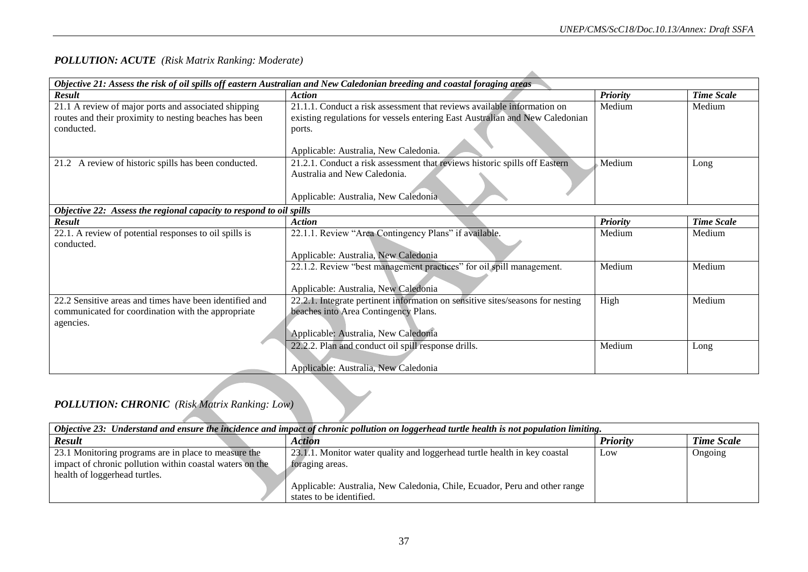## *POLLUTION: ACUTE (Risk Matrix Ranking: Moderate)*

|                                                                     | Objective 21: Assess the risk of oil spills off eastern Australian and New Caledonian breeding and coastal foraging areas |                 |                   |  |
|---------------------------------------------------------------------|---------------------------------------------------------------------------------------------------------------------------|-----------------|-------------------|--|
| <b>Result</b>                                                       | <b>Action</b>                                                                                                             | <b>Priority</b> | <b>Time Scale</b> |  |
| 21.1 A review of major ports and associated shipping                | 21.1.1. Conduct a risk assessment that reviews available information on                                                   | Medium          | Medium            |  |
| routes and their proximity to nesting beaches has been              | existing regulations for vessels entering East Australian and New Caledonian                                              |                 |                   |  |
| conducted.                                                          | ports.                                                                                                                    |                 |                   |  |
|                                                                     |                                                                                                                           |                 |                   |  |
|                                                                     | Applicable: Australia, New Caledonia.                                                                                     |                 |                   |  |
| 21.2 A review of historic spills has been conducted.                | 21.2.1. Conduct a risk assessment that reviews historic spills off Eastern                                                | Medium          | Long              |  |
|                                                                     | Australia and New Caledonia.                                                                                              |                 |                   |  |
|                                                                     |                                                                                                                           |                 |                   |  |
|                                                                     | Applicable: Australia, New Caledonia                                                                                      |                 |                   |  |
| Objective 22: Assess the regional capacity to respond to oil spills |                                                                                                                           |                 |                   |  |
| <b>Result</b>                                                       | <b>Action</b>                                                                                                             | <b>Priority</b> | <b>Time Scale</b> |  |
| 22.1. A review of potential responses to oil spills is              | 22.1.1. Review "Area Contingency Plans" if available.                                                                     | Medium          | Medium            |  |
| conducted.                                                          |                                                                                                                           |                 |                   |  |
|                                                                     | Applicable: Australia, New Caledonia                                                                                      |                 |                   |  |
|                                                                     | 22.1.2. Review "best management practices" for oil spill management.                                                      | Medium          | Medium            |  |
|                                                                     |                                                                                                                           |                 |                   |  |
|                                                                     | Applicable: Australia, New Caledonia                                                                                      |                 |                   |  |
| 22.2 Sensitive areas and times have been identified and             | 22.2.1. Integrate pertinent information on sensitive sites/seasons for nesting                                            | High            | Medium            |  |
| communicated for coordination with the appropriate                  | beaches into Area Contingency Plans.                                                                                      |                 |                   |  |
| agencies.                                                           |                                                                                                                           |                 |                   |  |
|                                                                     | Applicable: Australia, New Caledonia                                                                                      |                 |                   |  |
|                                                                     | 22.2.2. Plan and conduct oil spill response drills.                                                                       | Medium          | Long              |  |
|                                                                     |                                                                                                                           |                 |                   |  |
|                                                                     | Applicable: Australia, New Caledonia                                                                                      |                 |                   |  |

## *POLLUTION: CHRONIC (Risk Matrix Ranking: Low)*

| Objective 23: Understand and ensure the incidence and impact of chronic pollution on loggerhead turtle health is not population limiting.         |                                                                                                                                                                                                        |                 |                   |
|---------------------------------------------------------------------------------------------------------------------------------------------------|--------------------------------------------------------------------------------------------------------------------------------------------------------------------------------------------------------|-----------------|-------------------|
| <b>Result</b>                                                                                                                                     | Action                                                                                                                                                                                                 | <b>Priority</b> | <b>Time Scale</b> |
| 23.1 Monitoring programs are in place to measure the<br>impact of chronic pollution within coastal waters on the<br>health of loggerhead turtles. | 23.1.1. Monitor water quality and loggerhead turtle health in key coastal<br>foraging areas.<br>Applicable: Australia, New Caledonia, Chile, Ecuador, Peru and other range<br>states to be identified. | Low             | Ongoing           |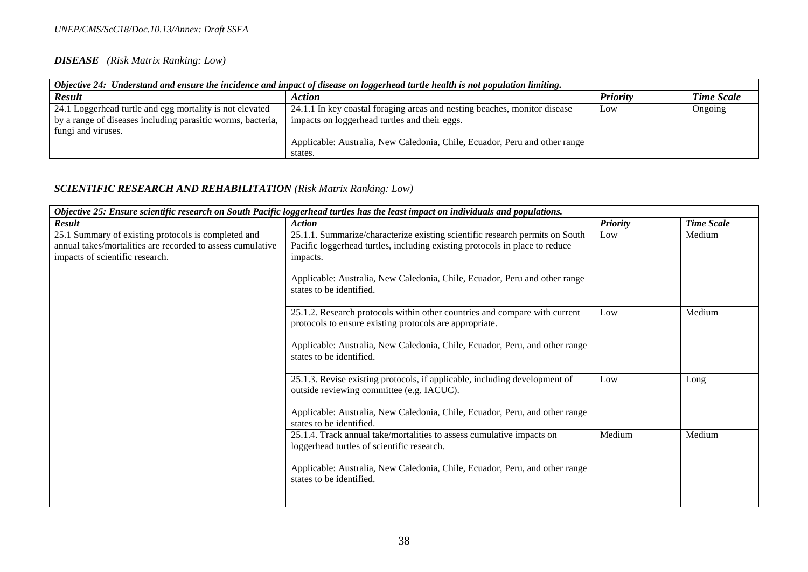#### *DISEASE (Risk Matrix Ranking: Low)*

| Objective 24: Understand and ensure the incidence and impact of disease on loggerhead turtle health is not population limiting. |                                                                            |                 |                   |
|---------------------------------------------------------------------------------------------------------------------------------|----------------------------------------------------------------------------|-----------------|-------------------|
| <b>Result</b>                                                                                                                   | Action                                                                     | <b>Priority</b> | <b>Time Scale</b> |
| 24.1 Loggerhead turtle and egg mortality is not elevated                                                                        | 24.1.1 In key coastal foraging areas and nesting beaches, monitor disease  | Low             | Ongoing           |
| by a range of diseases including parasitic worms, bacteria,                                                                     | impacts on loggerhead turtles and their eggs.                              |                 |                   |
| fungi and viruses.                                                                                                              |                                                                            |                 |                   |
|                                                                                                                                 | Applicable: Australia, New Caledonia, Chile, Ecuador, Peru and other range |                 |                   |
|                                                                                                                                 | states.                                                                    |                 |                   |

#### *SCIENTIFIC RESEARCH AND REHABILITATION (Risk Matrix Ranking: Low)*

| Objective 25: Ensure scientific research on South Pacific loggerhead turtles has the least impact on individuals and populations. |                                                                                                         |                 |                   |  |
|-----------------------------------------------------------------------------------------------------------------------------------|---------------------------------------------------------------------------------------------------------|-----------------|-------------------|--|
| <b>Result</b>                                                                                                                     | <b>Action</b>                                                                                           | <b>Priority</b> | <b>Time Scale</b> |  |
| 25.1 Summary of existing protocols is completed and                                                                               | 25.1.1. Summarize/characterize existing scientific research permits on South                            | Low             | Medium            |  |
| annual takes/mortalities are recorded to assess cumulative                                                                        | Pacific loggerhead turtles, including existing protocols in place to reduce                             |                 |                   |  |
| impacts of scientific research.                                                                                                   | impacts.                                                                                                |                 |                   |  |
|                                                                                                                                   |                                                                                                         |                 |                   |  |
|                                                                                                                                   | Applicable: Australia, New Caledonia, Chile, Ecuador, Peru and other range                              |                 |                   |  |
|                                                                                                                                   | states to be identified.                                                                                |                 |                   |  |
|                                                                                                                                   |                                                                                                         |                 |                   |  |
|                                                                                                                                   | 25.1.2. Research protocols within other countries and compare with current                              | Low             | Medium            |  |
|                                                                                                                                   | protocols to ensure existing protocols are appropriate.                                                 |                 |                   |  |
|                                                                                                                                   |                                                                                                         |                 |                   |  |
|                                                                                                                                   | Applicable: Australia, New Caledonia, Chile, Ecuador, Peru, and other range<br>states to be identified. |                 |                   |  |
|                                                                                                                                   |                                                                                                         |                 |                   |  |
|                                                                                                                                   | 25.1.3. Revise existing protocols, if applicable, including development of                              | Low             | Long              |  |
|                                                                                                                                   | outside reviewing committee (e.g. IACUC).                                                               |                 |                   |  |
|                                                                                                                                   |                                                                                                         |                 |                   |  |
|                                                                                                                                   | Applicable: Australia, New Caledonia, Chile, Ecuador, Peru, and other range                             |                 |                   |  |
|                                                                                                                                   | states to be identified.                                                                                |                 |                   |  |
|                                                                                                                                   | 25.1.4. Track annual take/mortalities to assess cumulative impacts on                                   | Medium          | Medium            |  |
|                                                                                                                                   | loggerhead turtles of scientific research.                                                              |                 |                   |  |
|                                                                                                                                   |                                                                                                         |                 |                   |  |
|                                                                                                                                   | Applicable: Australia, New Caledonia, Chile, Ecuador, Peru, and other range                             |                 |                   |  |
|                                                                                                                                   | states to be identified.                                                                                |                 |                   |  |
|                                                                                                                                   |                                                                                                         |                 |                   |  |
|                                                                                                                                   |                                                                                                         |                 |                   |  |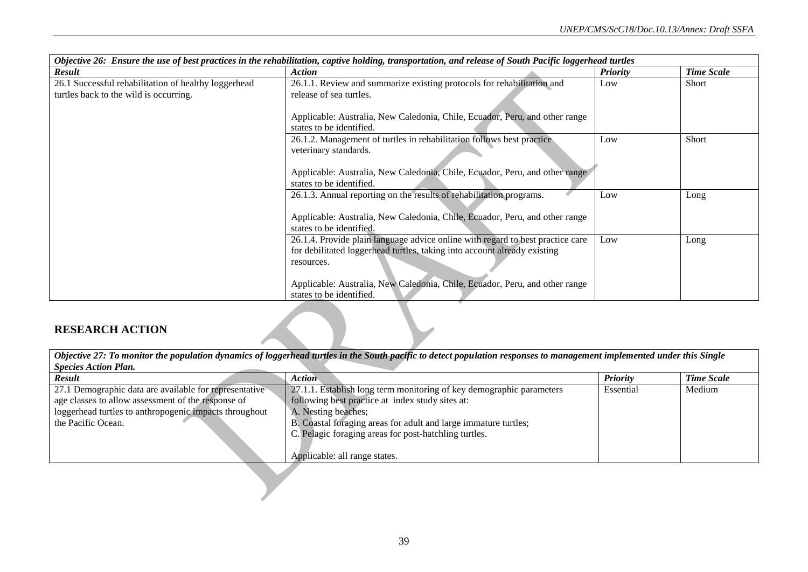| Objective 26: Ensure the use of best practices in the rehabilitation, captive holding, transportation, and release of South Pacific loggerhead turtles |                                                                                |                 |                   |  |
|--------------------------------------------------------------------------------------------------------------------------------------------------------|--------------------------------------------------------------------------------|-----------------|-------------------|--|
| Result                                                                                                                                                 | Action                                                                         | <b>Priority</b> | <b>Time Scale</b> |  |
| 26.1 Successful rehabilitation of healthy loggerhead                                                                                                   | 26.1.1. Review and summarize existing protocols for rehabilitation and         | Low             | Short             |  |
| turtles back to the wild is occurring.                                                                                                                 | release of sea turtles.                                                        |                 |                   |  |
|                                                                                                                                                        |                                                                                |                 |                   |  |
|                                                                                                                                                        | Applicable: Australia, New Caledonia, Chile, Ecuador, Peru, and other range    |                 |                   |  |
|                                                                                                                                                        | states to be identified.                                                       |                 |                   |  |
|                                                                                                                                                        | 26.1.2. Management of turtles in rehabilitation follows best practice          | Low             | Short             |  |
|                                                                                                                                                        | veterinary standards.                                                          |                 |                   |  |
|                                                                                                                                                        |                                                                                |                 |                   |  |
|                                                                                                                                                        | Applicable: Australia, New Caledonia, Chile, Ecuador, Peru, and other range    |                 |                   |  |
|                                                                                                                                                        | states to be identified.                                                       |                 |                   |  |
|                                                                                                                                                        | 26.1.3. Annual reporting on the results of rehabilitation programs.            | Low             | Long              |  |
|                                                                                                                                                        |                                                                                |                 |                   |  |
|                                                                                                                                                        | Applicable: Australia, New Caledonia, Chile, Ecuador, Peru, and other range    |                 |                   |  |
|                                                                                                                                                        | states to be identified.                                                       |                 |                   |  |
|                                                                                                                                                        | 26.1.4. Provide plain language advice online with regard to best practice care | Low             | Long              |  |
|                                                                                                                                                        | for debilitated loggerhead turtles, taking into account already existing       |                 |                   |  |
|                                                                                                                                                        | resources.                                                                     |                 |                   |  |
|                                                                                                                                                        |                                                                                |                 |                   |  |
|                                                                                                                                                        | Applicable: Australia, New Caledonia, Chile, Ecuador, Peru, and other range    |                 |                   |  |
|                                                                                                                                                        | states to be identified.                                                       |                 |                   |  |

## **RESEARCH ACTION**

| Objective 27: To monitor the population dynamics of loggerhead turtles in the South pacific to detect population responses to management implemented under this Single |                                                                      |                 |                   |  |  |
|------------------------------------------------------------------------------------------------------------------------------------------------------------------------|----------------------------------------------------------------------|-----------------|-------------------|--|--|
| <b>Species Action Plan.</b>                                                                                                                                            |                                                                      |                 |                   |  |  |
| <b>Result</b>                                                                                                                                                          | <b>Action</b>                                                        | <b>Priority</b> | <b>Time Scale</b> |  |  |
| 27.1 Demographic data are available for representative                                                                                                                 | 27.1.1. Establish long term monitoring of key demographic parameters | Essential       | Medium            |  |  |
| age classes to allow assessment of the response of                                                                                                                     | following best practice at index study sites at:                     |                 |                   |  |  |
| loggerhead turtles to anthropogenic impacts throughout                                                                                                                 | A. Nesting beaches;                                                  |                 |                   |  |  |
| the Pacific Ocean.                                                                                                                                                     | B. Coastal foraging areas for adult and large immature turtles;      |                 |                   |  |  |
|                                                                                                                                                                        | C. Pelagic foraging areas for post-hatchling turtles.                |                 |                   |  |  |
|                                                                                                                                                                        |                                                                      |                 |                   |  |  |
|                                                                                                                                                                        | Applicable: all range states.                                        |                 |                   |  |  |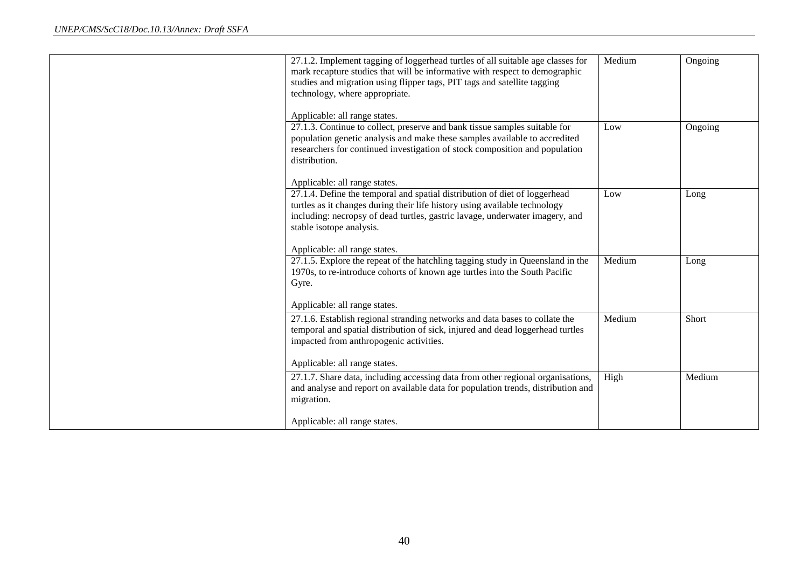| 27.1.2. Implement tagging of loggerhead turtles of all suitable age classes for<br>mark recapture studies that will be informative with respect to demographic<br>studies and migration using flipper tags, PIT tags and satellite tagging<br>technology, where appropriate. | Medium | Ongoing |
|------------------------------------------------------------------------------------------------------------------------------------------------------------------------------------------------------------------------------------------------------------------------------|--------|---------|
| Applicable: all range states.                                                                                                                                                                                                                                                |        |         |
| 27.1.3. Continue to collect, preserve and bank tissue samples suitable for<br>population genetic analysis and make these samples available to accredited<br>researchers for continued investigation of stock composition and population<br>distribution.                     | Low    | Ongoing |
| Applicable: all range states.                                                                                                                                                                                                                                                |        |         |
| 27.1.4. Define the temporal and spatial distribution of diet of loggerhead<br>turtles as it changes during their life history using available technology<br>including: necropsy of dead turtles, gastric lavage, underwater imagery, and<br>stable isotope analysis.         | Low    | Long    |
| Applicable: all range states.                                                                                                                                                                                                                                                |        |         |
| 27.1.5. Explore the repeat of the hatchling tagging study in Queensland in the<br>1970s, to re-introduce cohorts of known age turtles into the South Pacific<br>Gyre.                                                                                                        | Medium | Long    |
| Applicable: all range states.                                                                                                                                                                                                                                                |        |         |
| 27.1.6. Establish regional stranding networks and data bases to collate the<br>temporal and spatial distribution of sick, injured and dead loggerhead turtles<br>impacted from anthropogenic activities.                                                                     | Medium | Short   |
| Applicable: all range states.                                                                                                                                                                                                                                                |        |         |
| 27.1.7. Share data, including accessing data from other regional organisations,<br>and analyse and report on available data for population trends, distribution and<br>migration.                                                                                            | High   | Medium  |
| Applicable: all range states.                                                                                                                                                                                                                                                |        |         |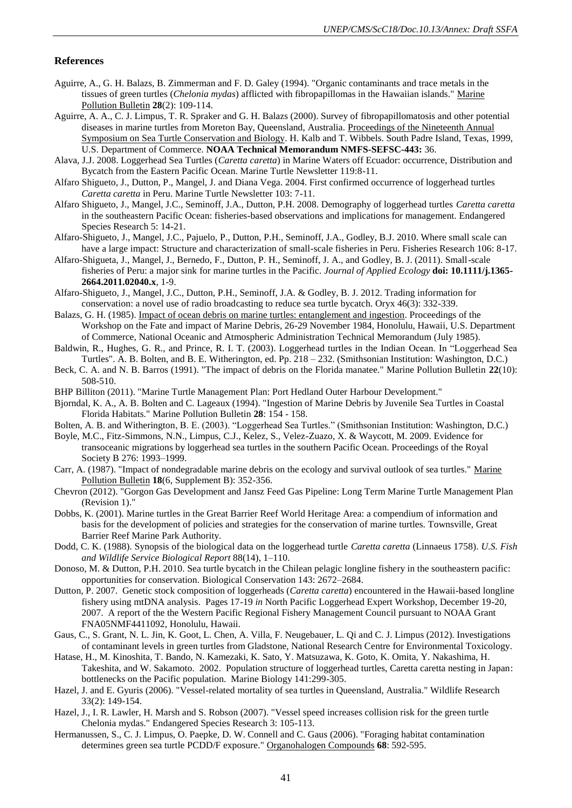#### **References**

- <span id="page-42-6"></span>Aguirre, A., G. H. Balazs, B. Zimmerman and F. D. Galey (1994). "Organic contaminants and trace metals in the tissues of green turtles (*Chelonia mydas*) afflicted with fibropapillomas in the Hawaiian islands." Marine Pollution Bulletin **28**(2): 109-114.
- <span id="page-42-7"></span>Aguirre, A. A., C. J. Limpus, T. R. Spraker and G. H. Balazs (2000). Survey of fibropapillomatosis and other potential diseases in marine turtles from Moreton Bay, Queensland, Australia. Proceedings of the Nineteenth Annual Symposium on Sea Turtle Conservation and Biology. H. Kalb and T. Wibbels. South Padre Island, Texas, 1999, U.S. Department of Commerce. **NOAA Technical Memorandum NMFS-SEFSC-443:** 36.
- Alava, J.J. 2008. Loggerhead Sea Turtles (*Caretta caretta*) in Marine Waters off Ecuador: occurrence, Distribution and Bycatch from the Eastern Pacific Ocean. Marine Turtle Newsletter 119:8-11.
- Alfaro Shigueto, J., Dutton, P., Mangel, J. and Diana Vega. 2004. First confirmed occurrence of loggerhead turtles *Caretta caretta* in Peru. Marine Turtle Newsletter 103: 7-11.
- Alfaro Shigueto, J., Mangel, J.C., Seminoff, J.A., Dutton, P.H. 2008. Demography of loggerhead turtles *Caretta caretta* in the southeastern Pacific Ocean: fisheries-based observations and implications for management. Endangered Species Research 5: 14-21.
- Alfaro-Shigueto, J., Mangel, J.C., Pajuelo, P., Dutton, P.H., Seminoff, J.A., Godley, B.J. 2010. Where small scale can have a large impact: Structure and characterization of small-scale fisheries in Peru. Fisheries Research 106: 8-17.
- Alfaro-Shigueta, J., Mangel, J., Bernedo, F., Dutton, P. H., Seminoff, J. A., and Godley, B. J. (2011). Small-scale fisheries of Peru: a major sink for marine turtles in the Pacific. *Journal of Applied Ecology* **doi: 10.1111/j.1365- 2664.2011.02040.x**, 1-9.
- Alfaro-Shigueto, J., Mangel, J.C., Dutton, P.H., Seminoff, J.A. & Godley, B. J. 2012. Trading information for conservation: a novel use of radio broadcasting to reduce sea turtle bycatch. Oryx 46(3): 332-339.
- <span id="page-42-1"></span>Balazs, G. H. (1985). Impact of ocean debris on marine turtles: entanglement and ingestion. Proceedings of the Workshop on the Fate and impact of Marine Debris, 26-29 November 1984, Honolulu, Hawaii, U.S. Department of Commerce, National Oceanic and Atmospheric Administration Technical Memorandum (July 1985).
- Baldwin, R., Hughes, G. R., and Prince, R. I. T. (2003). Loggerhead turtles in the Indian Ocean. In "Loggerhead Sea Turtles". A. B. Bolten, and B. E. Witherington, ed. Pp. 218 – 232. (Smithsonian Institution: Washington, D.C.)
- Beck, C. A. and N. B. Barros (1991). "The impact of debris on the Florida manatee." Marine Pollution Bulletin **22**(10): 508-510.
- <span id="page-42-0"></span>BHP Billiton (2011). "Marine Turtle Management Plan: Port Hedland Outer Harbour Development."
- <span id="page-42-3"></span>Bjorndal, K. A., A. B. Bolten and C. Lageaux (1994). "Ingestion of Marine Debris by Juvenile Sea Turtles in Coastal Florida Habitats." Marine Pollution Bulletin **28**: 154 - 158.
- Bolten, A. B. and Witherington, B. E. (2003). "Loggerhead Sea Turtles." (Smithsonian Institution: Washington, D.C.)
- Boyle, M.C., Fitz-Simmons, N.N., Limpus, C.J., Kelez, S., Velez-Zuazo, X. & Waycott, M. 2009. Evidence for transoceanic migrations by loggerhead sea turtles in the southern Pacific Ocean. Proceedings of the Royal Society B 276: 1993–1999.
- <span id="page-42-2"></span>Carr, A. (1987). "Impact of nondegradable marine debris on the ecology and survival outlook of sea turtles." Marine Pollution Bulletin **18**(6, Supplement B): 352-356.
- Chevron (2012). "Gorgon Gas Development and Jansz Feed Gas Pipeline: Long Term Marine Turtle Management Plan (Revision 1)."
- Dobbs, K. (2001). Marine turtles in the Great Barrier Reef World Heritage Area: a compendium of information and basis for the development of policies and strategies for the conservation of marine turtles. Townsville, Great Barrier Reef Marine Park Authority.
- Dodd, C. K. (1988). Synopsis of the biological data on the loggerhead turtle *Caretta caretta* (Linnaeus 1758). *U.S. Fish and Wildlife Service Biological Report* 88(14), 1–110.
- Donoso, M. & Dutton, P.H. 2010. Sea turtle bycatch in the Chilean pelagic longline fishery in the southeastern pacific: opportunities for conservation. Biological Conservation 143: 2672–2684.
- Dutton, P. 2007. Genetic stock composition of loggerheads (*Caretta caretta*) encountered in the Hawaii-based longline fishery using mtDNA analysis. Pages 17-19 *in* North Pacific Loggerhead Expert Workshop, December 19-20, 2007. A report of the the Western Pacific Regional Fishery Management Council pursuant to NOAA Grant FNA05NMF4411092, Honolulu, Hawaii.
- <span id="page-42-5"></span>Gaus, C., S. Grant, N. L. Jin, K. Goot, L. Chen, A. Villa, F. Neugebauer, L. Qi and C. J. Limpus (2012). Investigations of contaminant levels in green turtles from Gladstone, National Research Centre for Environmental Toxicology.
- Hatase, H., M. Kinoshita, T. Bando, N. Kamezaki, K. Sato, Y. Matsuzawa, K. Goto, K. Omita, Y. Nakashima, H. Takeshita, and W. Sakamoto. 2002. Population structure of loggerhead turtles, Caretta caretta nesting in Japan: bottlenecks on the Pacific population. Marine Biology 141:299-305.
- Hazel, J. and E. Gyuris (2006). "Vessel-related mortality of sea turtles in Queensland, Australia." Wildlife Research 33(2): 149-154.
- Hazel, J., I. R. Lawler, H. Marsh and S. Robson (2007). "Vessel speed increases collision risk for the green turtle Chelonia mydas." Endangered Species Research 3: 105-113.
- <span id="page-42-4"></span>Hermanussen, S., C. J. Limpus, O. Paepke, D. W. Connell and C. Gaus (2006). "Foraging habitat contamination determines green sea turtle PCDD/F exposure." Organohalogen Compounds **68**: 592-595.